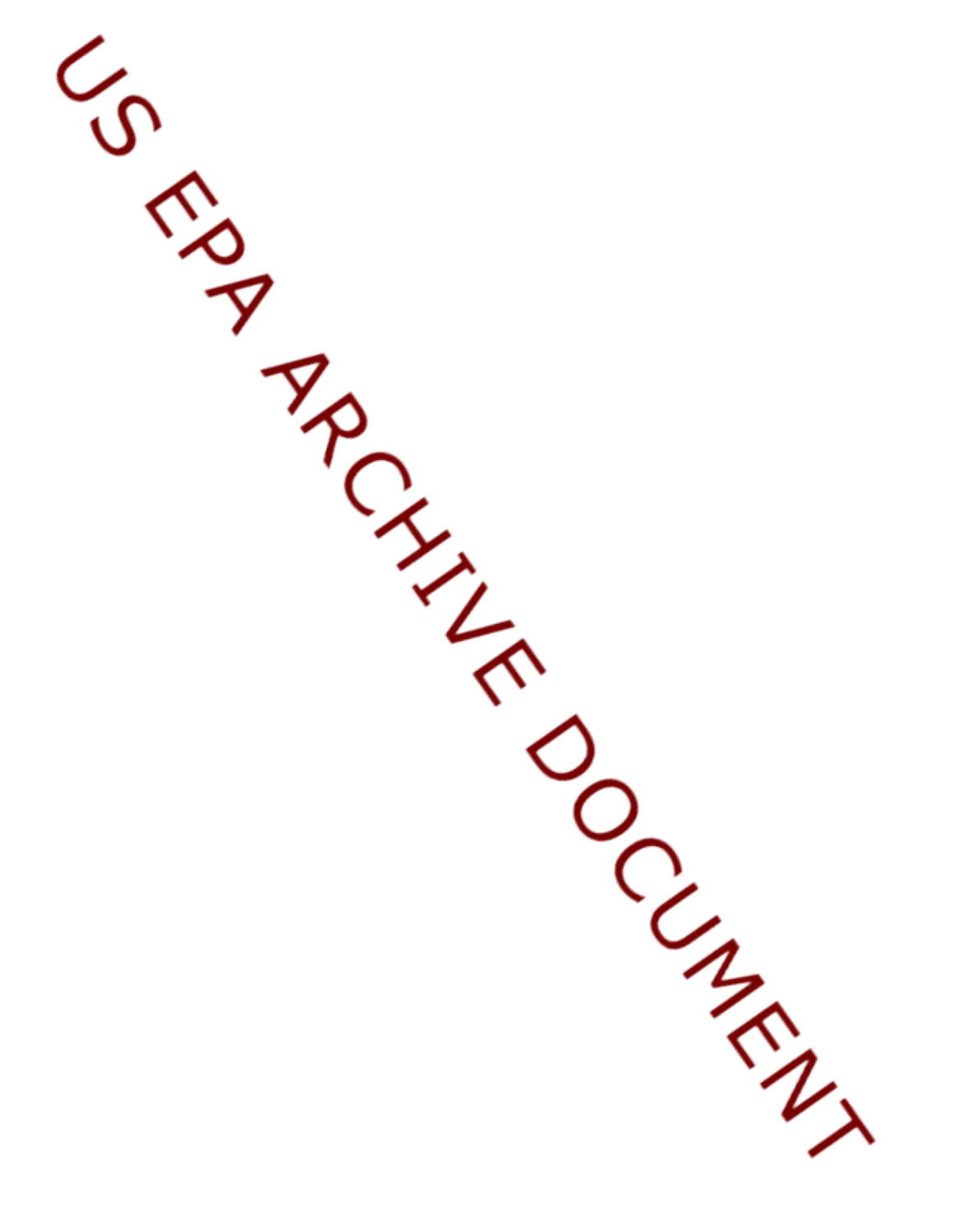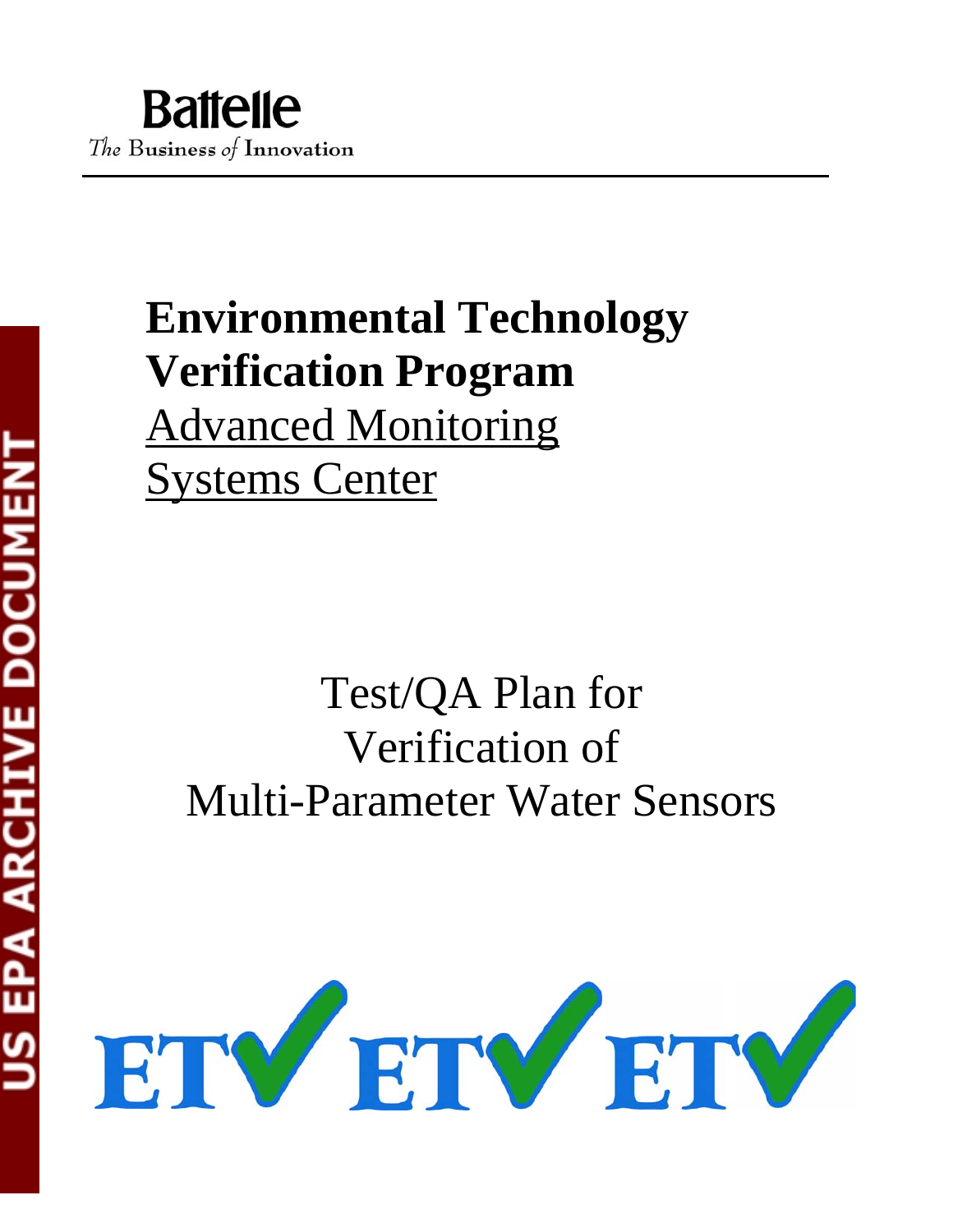# **Environmental Technology Verification Program** Advanced Monitoring Systems Center

# Test/QA Plan for Verification of Multi-Parameter Water Sensors

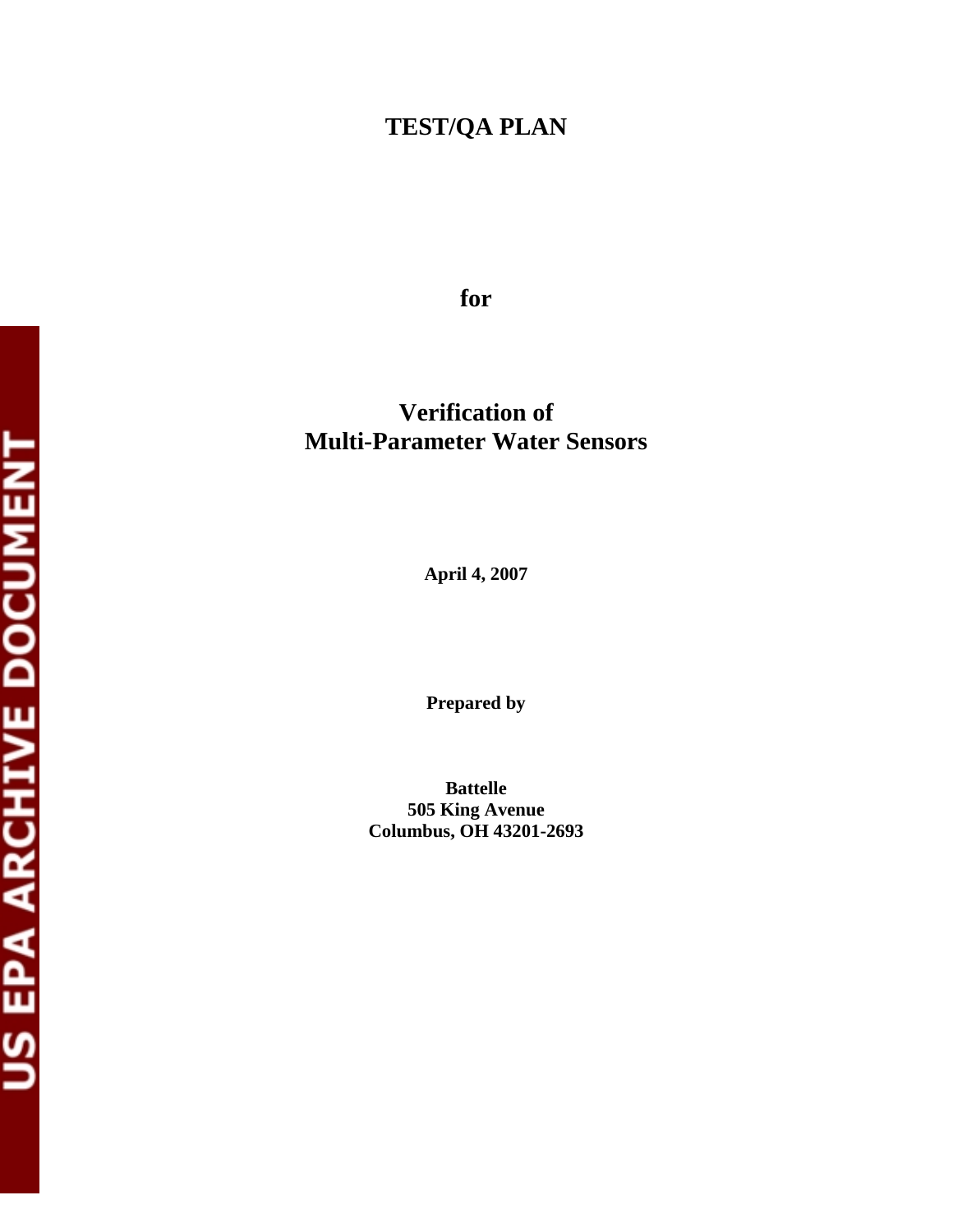## **TEST/QA PLAN**

**for**

## **Verification of Multi-Parameter Water Sensors**

**April 4, 2007** 

**Prepared by** 

**Battelle 505 King Avenue Columbus, OH 43201-2693**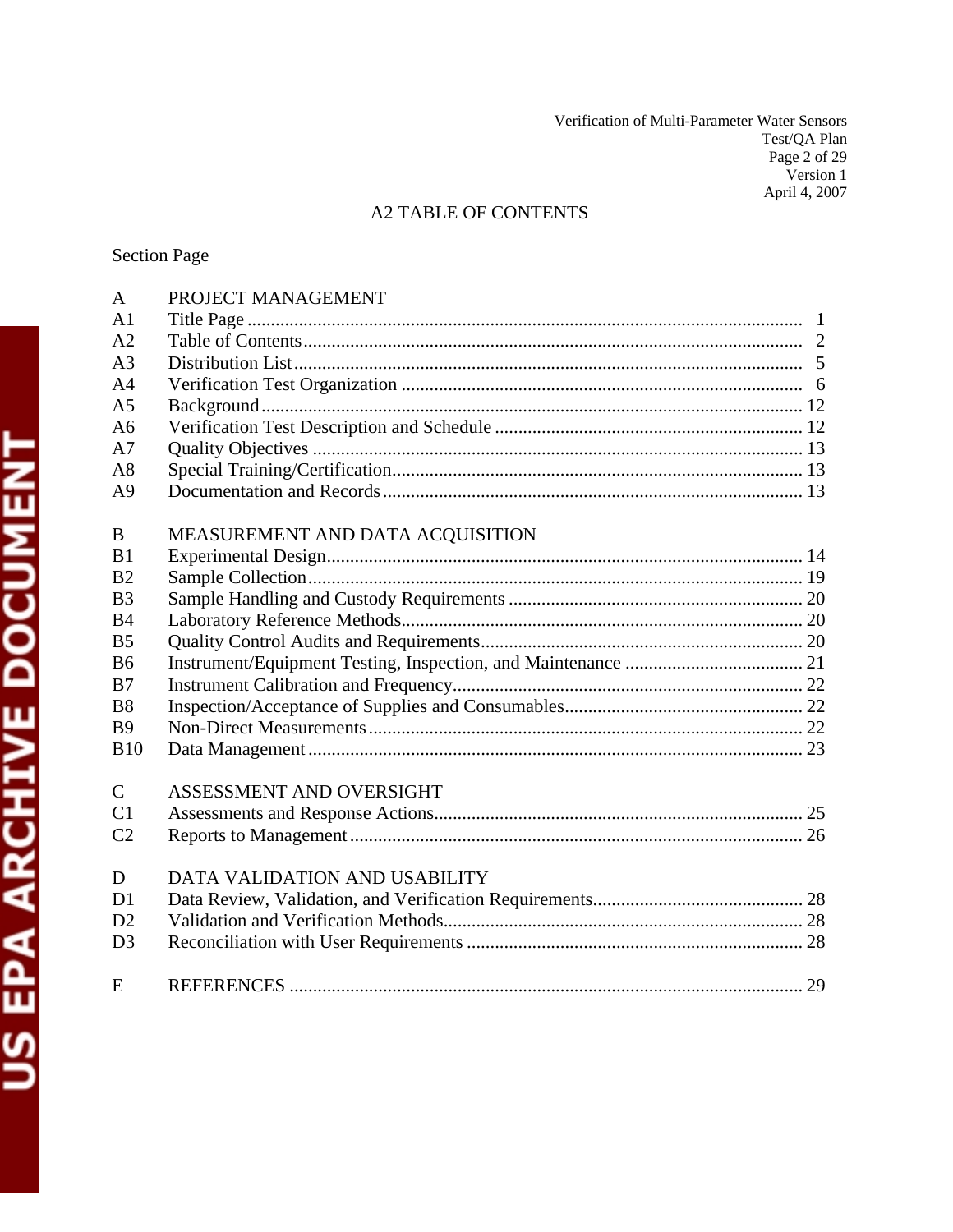Verification of Multi-Parameter Water Sensors Test/QA Plan Page 2 of 29 Version 1 April 4, 2007

## A2 TABLE OF CONTENTS

## Section Page

| A <sub>1</sub><br>A <sub>2</sub><br>A <sub>3</sub><br>A <sub>4</sub><br>A <sub>5</sub><br>A6<br>A7<br>A8<br>A <sub>9</sub><br>MEASUREMENT AND DATA ACQUISITION<br>B<br>B1<br>B <sub>2</sub><br>B <sub>3</sub><br><b>B4</b> |  |
|----------------------------------------------------------------------------------------------------------------------------------------------------------------------------------------------------------------------------|--|
|                                                                                                                                                                                                                            |  |
|                                                                                                                                                                                                                            |  |
|                                                                                                                                                                                                                            |  |
|                                                                                                                                                                                                                            |  |
|                                                                                                                                                                                                                            |  |
|                                                                                                                                                                                                                            |  |
|                                                                                                                                                                                                                            |  |
|                                                                                                                                                                                                                            |  |
|                                                                                                                                                                                                                            |  |
|                                                                                                                                                                                                                            |  |
|                                                                                                                                                                                                                            |  |
|                                                                                                                                                                                                                            |  |
|                                                                                                                                                                                                                            |  |
|                                                                                                                                                                                                                            |  |
| B <sub>5</sub>                                                                                                                                                                                                             |  |
| <b>B6</b>                                                                                                                                                                                                                  |  |
| B7                                                                                                                                                                                                                         |  |
| <b>B8</b>                                                                                                                                                                                                                  |  |
| <b>B9</b>                                                                                                                                                                                                                  |  |
| <b>B10</b>                                                                                                                                                                                                                 |  |
| $\mathsf{C}$<br>ASSESSMENT AND OVERSIGHT                                                                                                                                                                                   |  |
| C1                                                                                                                                                                                                                         |  |
| C <sub>2</sub>                                                                                                                                                                                                             |  |
| DATA VALIDATION AND USABILITY<br>D                                                                                                                                                                                         |  |
| D <sub>1</sub>                                                                                                                                                                                                             |  |
| D2                                                                                                                                                                                                                         |  |
| D <sub>3</sub>                                                                                                                                                                                                             |  |
| E                                                                                                                                                                                                                          |  |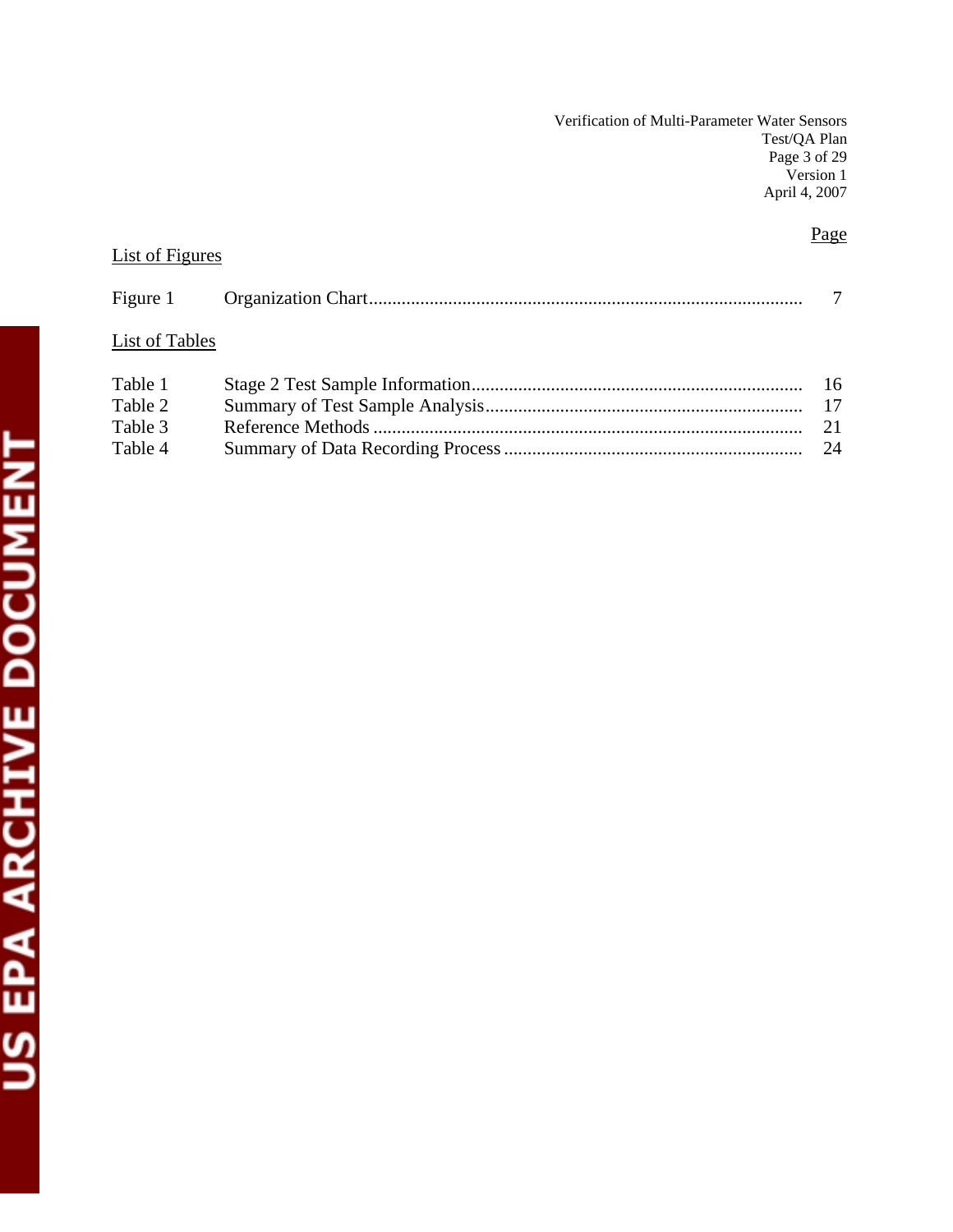Verification of Multi-Parameter Water Sensors Test/QA Plan Page 3 of 29 Version 1 April 4, 2007

## Page

## List of Figures

| List of Tables |  |
|----------------|--|
| Table 1        |  |
| Table 2        |  |
| Table 3        |  |

Table 4 Summary of Data Recording Process ................................................................ 24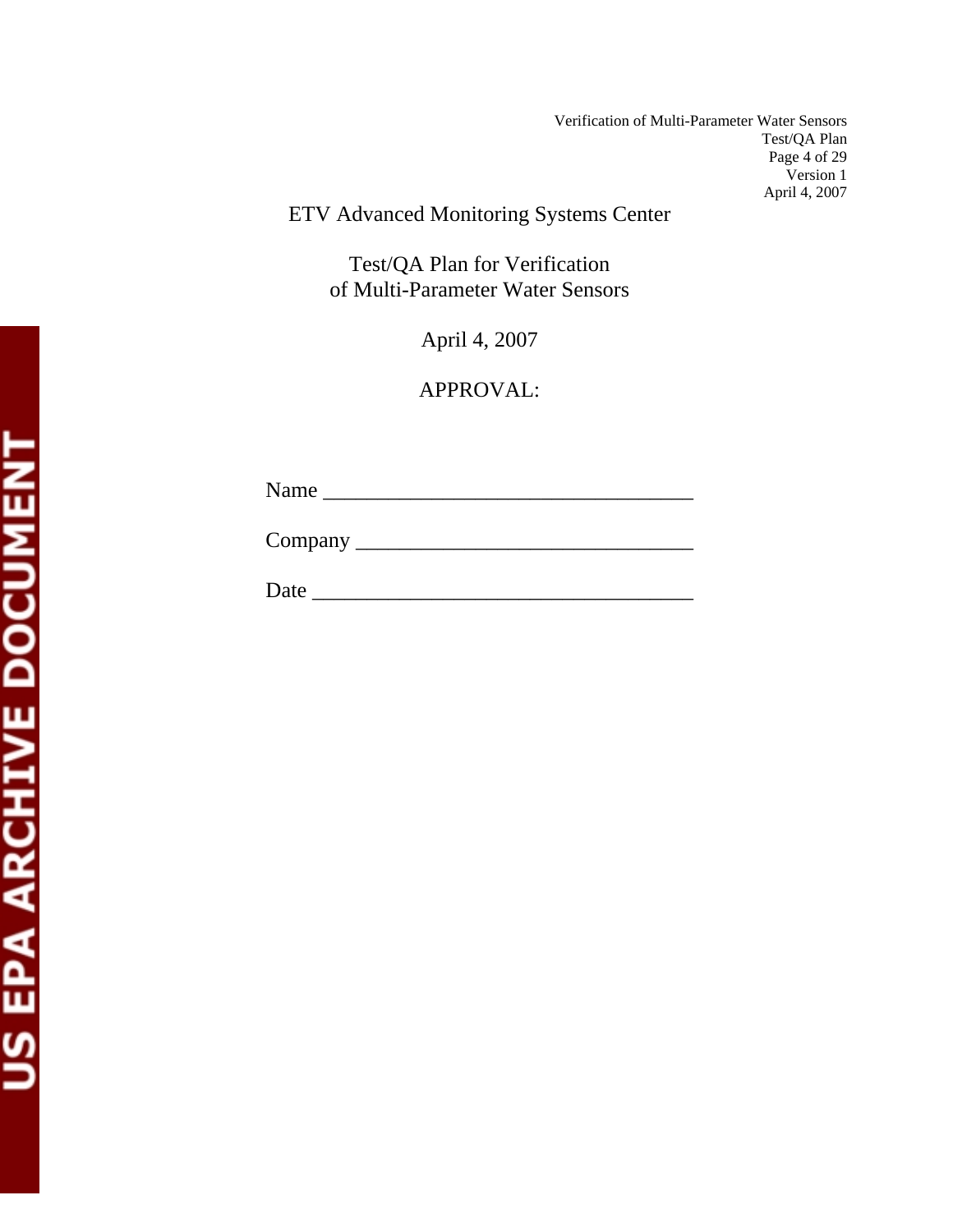Verification of Multi-Parameter Water Sensors Test/QA Plan Page 4 of 29 Version 1 April 4, 2007

ETV Advanced Monitoring Systems Center

Test/QA Plan for Verification of Multi-Parameter Water Sensors

April 4, 2007

APPROVAL:

Name \_\_\_\_\_\_\_\_\_\_\_\_\_\_\_\_\_\_\_\_\_\_\_\_\_\_\_\_\_\_\_\_\_\_

Company \_\_\_\_\_\_\_\_\_\_\_\_\_\_\_\_\_\_\_\_\_\_\_\_\_\_\_\_\_\_\_

Date \_\_\_\_\_\_\_\_\_\_\_\_\_\_\_\_\_\_\_\_\_\_\_\_\_\_\_\_\_\_\_\_\_\_\_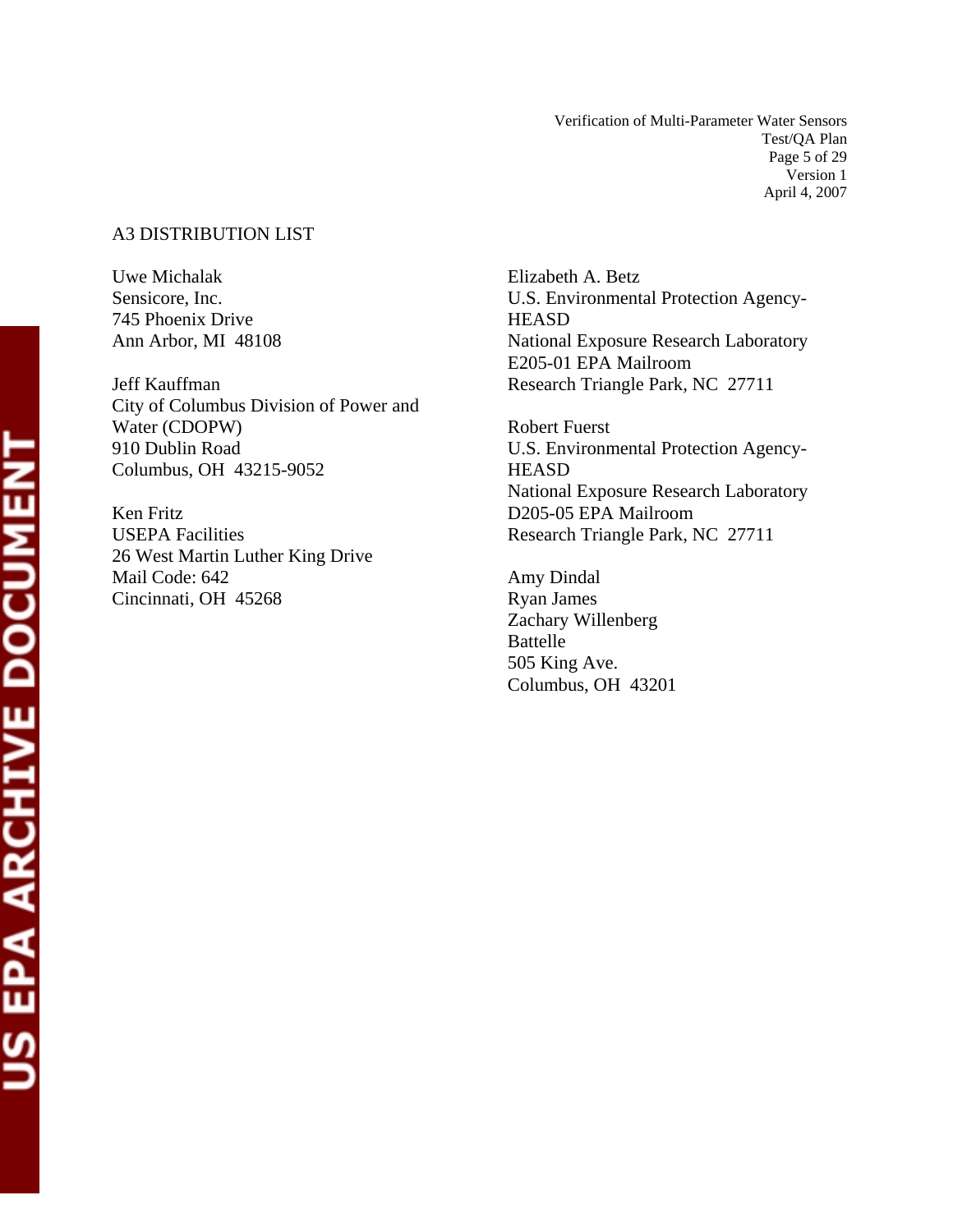Verification of Multi-Parameter Water Sensors Test/QA Plan Page 5 of 29 Version 1 April 4, 2007

## A3 DISTRIBUTION LIST

Uwe Michalak Sensicore, Inc. 745 Phoenix Drive Ann Arbor, MI 48108

Jeff Kauffman City of Columbus Division of Power and Water (CDOPW) 910 Dublin Road Columbus, OH 43215-9052

Ken Fritz USEPA Facilities 26 West Martin Luther King Drive Mail Code: 642 Cincinnati, OH 45268

Elizabeth A. Betz U.S. Environmental Protection Agency-**HEASD** National Exposure Research Laboratory E205-01 EPA Mailroom Research Triangle Park, NC 27711

Robert Fuerst U.S. Environmental Protection Agency-**HEASD** National Exposure Research Laboratory D205-05 EPA Mailroom Research Triangle Park, NC 27711

Amy Dindal Ryan James Zachary Willenberg Battelle 505 King Ave. Columbus, OH 43201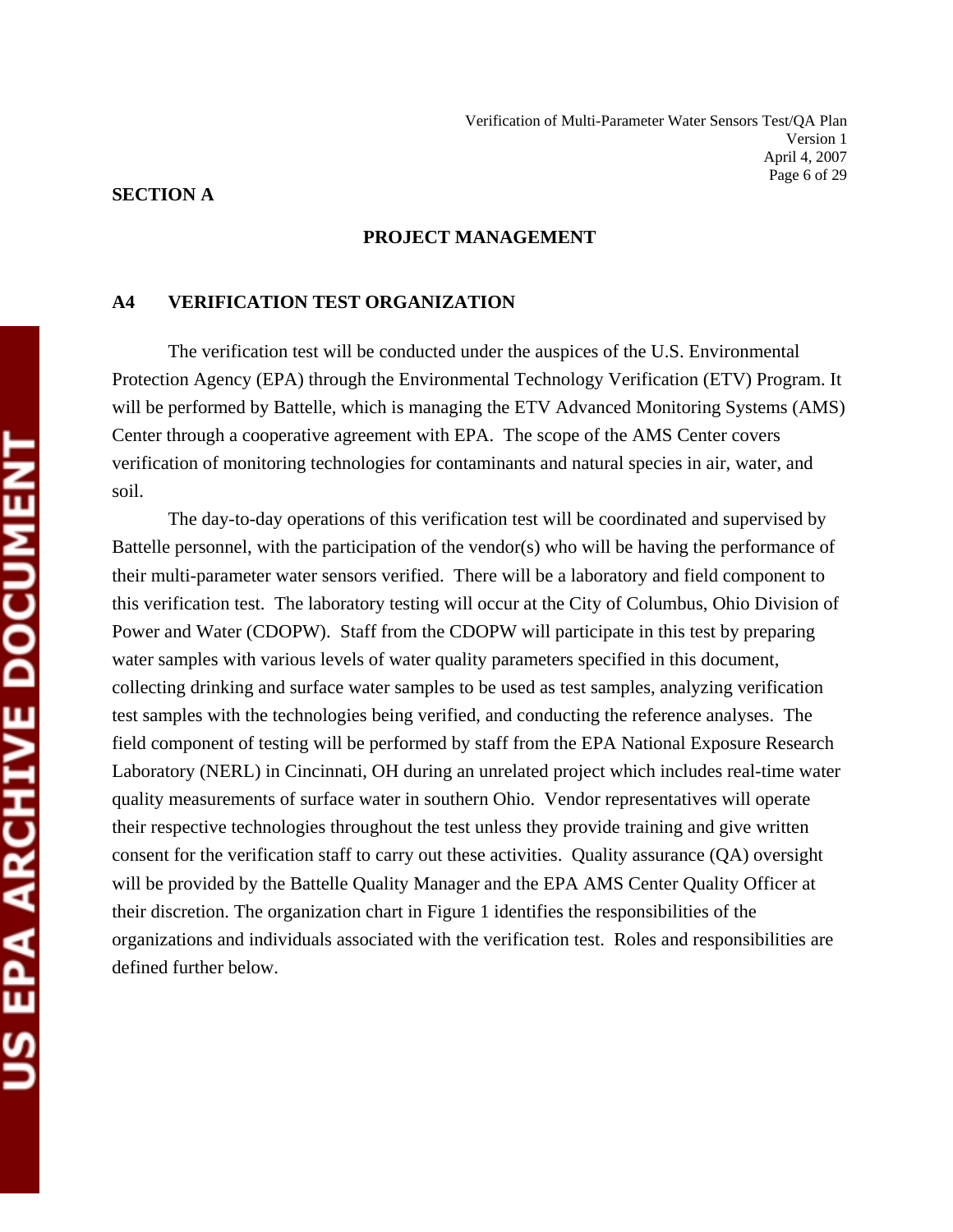#### **SECTION A**

#### **PROJECT MANAGEMENT**

#### **A4 VERIFICATION TEST ORGANIZATION**

 The verification test will be conducted under the auspices of the U.S. Environmental Protection Agency (EPA) through the Environmental Technology Verification (ETV) Program. It will be performed by Battelle, which is managing the ETV Advanced Monitoring Systems (AMS) Center through a cooperative agreement with EPA. The scope of the AMS Center covers verification of monitoring technologies for contaminants and natural species in air, water, and soil.

 The day-to-day operations of this verification test will be coordinated and supervised by Battelle personnel, with the participation of the vendor(s) who will be having the performance of their multi-parameter water sensors verified. There will be a laboratory and field component to this verification test. The laboratory testing will occur at the City of Columbus, Ohio Division of Power and Water (CDOPW). Staff from the CDOPW will participate in this test by preparing water samples with various levels of water quality parameters specified in this document, collecting drinking and surface water samples to be used as test samples, analyzing verification test samples with the technologies being verified, and conducting the reference analyses. The field component of testing will be performed by staff from the EPA National Exposure Research Laboratory (NERL) in Cincinnati, OH during an unrelated project which includes real-time water quality measurements of surface water in southern Ohio. Vendor representatives will operate their respective technologies throughout the test unless they provide training and give written consent for the verification staff to carry out these activities. Quality assurance (QA) oversight will be provided by the Battelle Quality Manager and the EPA AMS Center Quality Officer at their discretion. The organization chart in Figure 1 identifies the responsibilities of the organizations and individuals associated with the verification test. Roles and responsibilities are defined further below.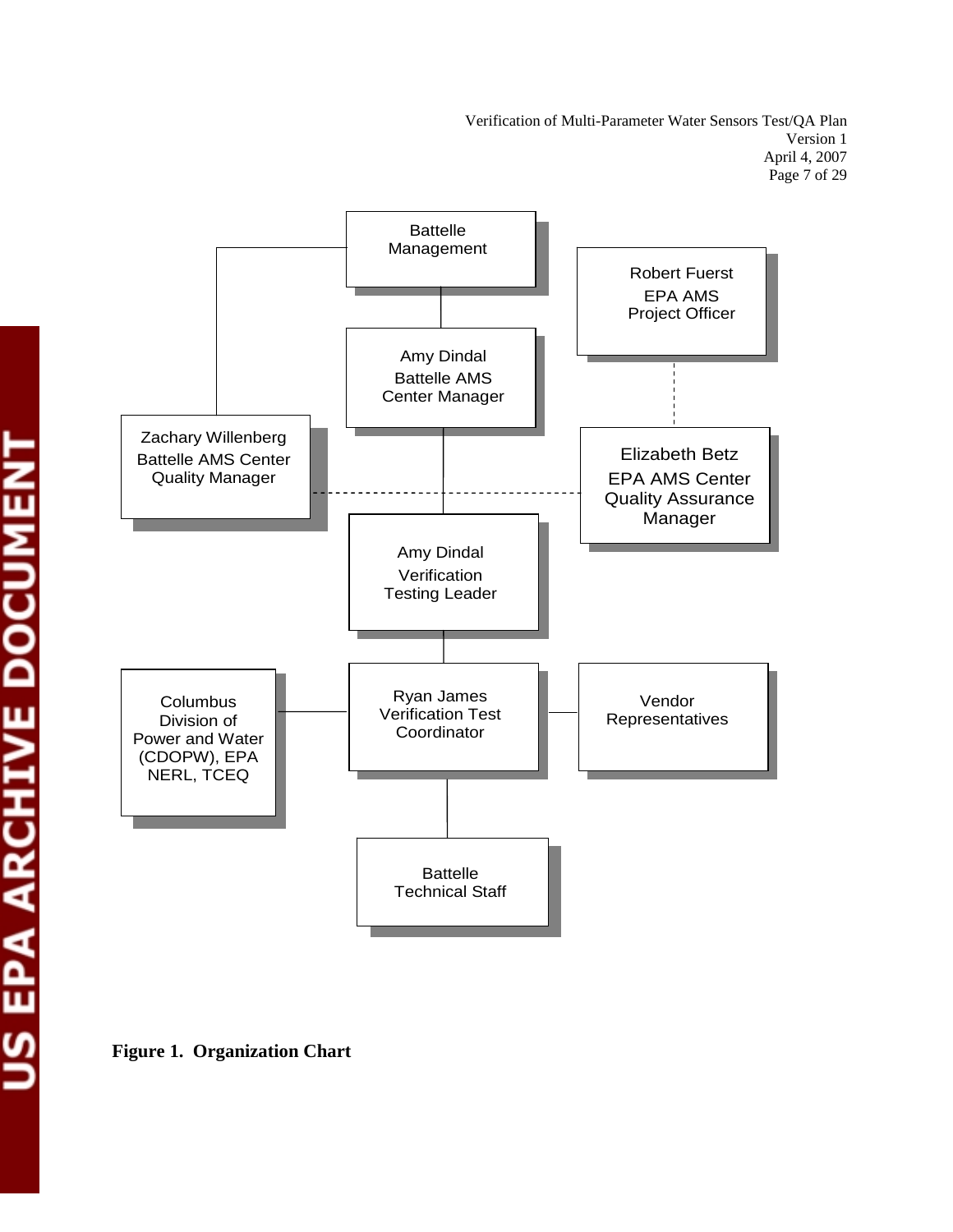Verification of Multi-Parameter Water Sensors Test/QA Plan Version 1 April 4, 2007 Page 7 of 29



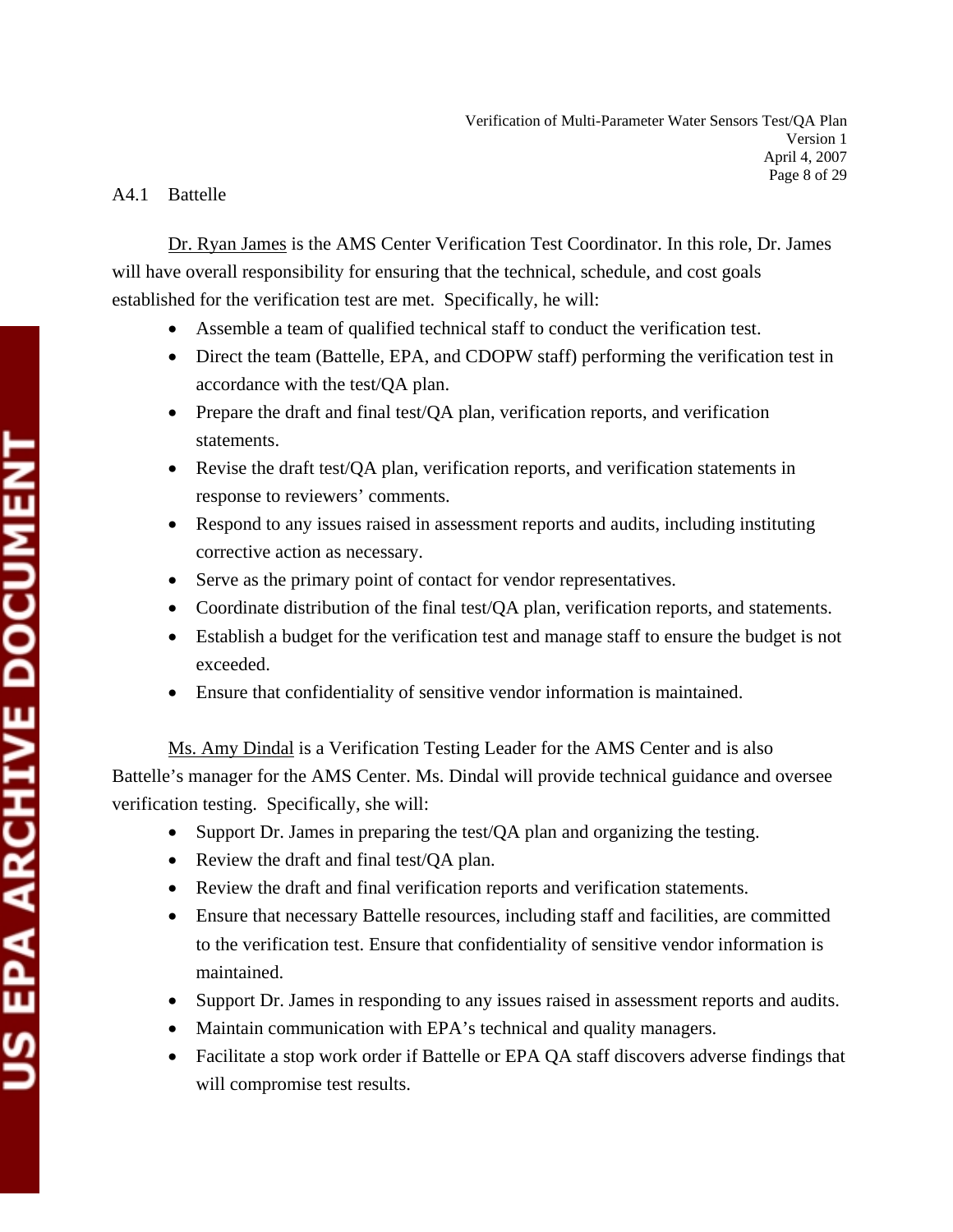## A4.1 Battelle

 Dr. Ryan James is the AMS Center Verification Test Coordinator. In this role, Dr. James will have overall responsibility for ensuring that the technical, schedule, and cost goals established for the verification test are met. Specifically, he will:

- Assemble a team of qualified technical staff to conduct the verification test.
- Direct the team (Battelle, EPA, and CDOPW staff) performing the verification test in accordance with the test/QA plan.
- Prepare the draft and final test/QA plan, verification reports, and verification statements.
- Revise the draft test/QA plan, verification reports, and verification statements in response to reviewers' comments.
- Respond to any issues raised in assessment reports and audits, including instituting corrective action as necessary.
- Serve as the primary point of contact for vendor representatives.
- Coordinate distribution of the final test/QA plan, verification reports, and statements.
- Establish a budget for the verification test and manage staff to ensure the budget is not exceeded.
- Ensure that confidentiality of sensitive vendor information is maintained.

 Ms. Amy Dindal is a Verification Testing Leader for the AMS Center and is also Battelle's manager for the AMS Center. Ms. Dindal will provide technical guidance and oversee verification testing. Specifically, she will:

- Support Dr. James in preparing the test/QA plan and organizing the testing.
- Review the draft and final test/QA plan.
- Review the draft and final verification reports and verification statements.
- Ensure that necessary Battelle resources, including staff and facilities, are committed to the verification test. Ensure that confidentiality of sensitive vendor information is maintained.
- Support Dr. James in responding to any issues raised in assessment reports and audits.
- Maintain communication with EPA's technical and quality managers.
- Facilitate a stop work order if Battelle or EPA QA staff discovers adverse findings that will compromise test results.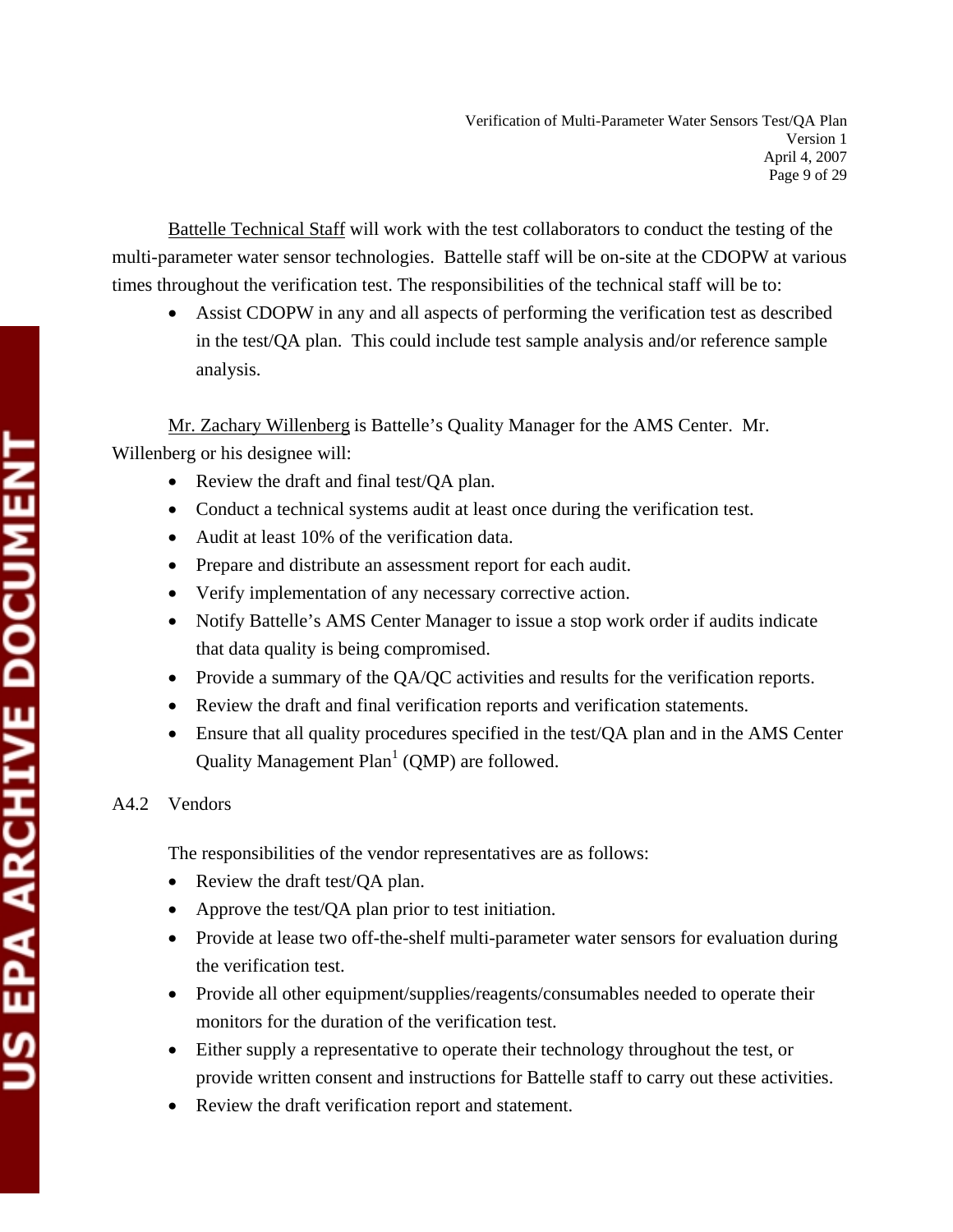Battelle Technical Staff will work with the test collaborators to conduct the testing of the multi-parameter water sensor technologies. Battelle staff will be on-site at the CDOPW at various times throughout the verification test. The responsibilities of the technical staff will be to:

Assist CDOPW in any and all aspects of performing the verification test as described in the test/QA plan. This could include test sample analysis and/or reference sample analysis.

 Mr. Zachary Willenberg is Battelle's Quality Manager for the AMS Center. Mr. Willenberg or his designee will:

- Review the draft and final test/QA plan.
- Conduct a technical systems audit at least once during the verification test.
- Audit at least 10% of the verification data.
- Prepare and distribute an assessment report for each audit.
- Verify implementation of any necessary corrective action.
- Notify Battelle's AMS Center Manager to issue a stop work order if audits indicate that data quality is being compromised.
- Provide a summary of the QA/QC activities and results for the verification reports.
- Review the draft and final verification reports and verification statements.
- Ensure that all quality procedures specified in the test/QA plan and in the AMS Center Quality Management  $Plan<sup>1</sup>$  (QMP) are followed.

## A4.2 Vendors

The responsibilities of the vendor representatives are as follows:

- Review the draft test/QA plan.
- Approve the test/QA plan prior to test initiation.
- Provide at lease two off-the-shelf multi-parameter water sensors for evaluation during the verification test.
- Provide all other equipment/supplies/reagents/consumables needed to operate their monitors for the duration of the verification test.
- Either supply a representative to operate their technology throughout the test, or provide written consent and instructions for Battelle staff to carry out these activities.
- Review the draft verification report and statement.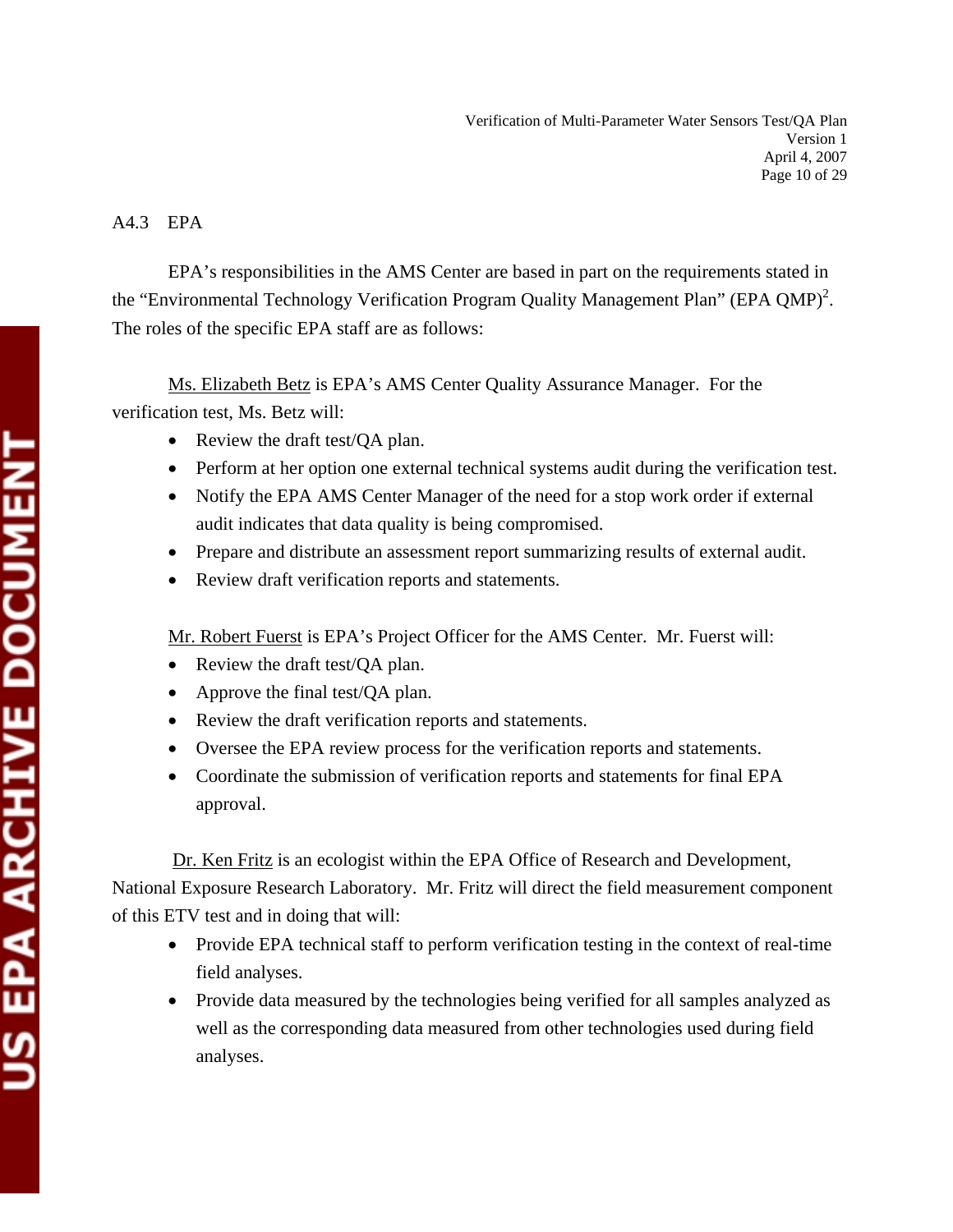## A4.3 EPA

 EPA's responsibilities in the AMS Center are based in part on the requirements stated in the "Environmental Technology Verification Program Quality Management Plan" (EPA QMP)<sup>2</sup>. The roles of the specific EPA staff are as follows:

Ms. Elizabeth Betz is EPA's AMS Center Quality Assurance Manager. For the verification test, Ms. Betz will:

- Review the draft test/QA plan.
- Perform at her option one external technical systems audit during the verification test.
- Notify the EPA AMS Center Manager of the need for a stop work order if external audit indicates that data quality is being compromised.
- Prepare and distribute an assessment report summarizing results of external audit.
- Review draft verification reports and statements.

Mr. Robert Fuerst is EPA's Project Officer for the AMS Center. Mr. Fuerst will:

- Review the draft test/QA plan.
- Approve the final test/QA plan.
- Review the draft verification reports and statements.
- Oversee the EPA review process for the verification reports and statements.
- Coordinate the submission of verification reports and statements for final EPA approval.

Dr. Ken Fritz is an ecologist within the EPA Office of Research and Development, National Exposure Research Laboratory. Mr. Fritz will direct the field measurement component of this ETV test and in doing that will:

- Provide EPA technical staff to perform verification testing in the context of real-time field analyses.
- Provide data measured by the technologies being verified for all samples analyzed as well as the corresponding data measured from other technologies used during field analyses.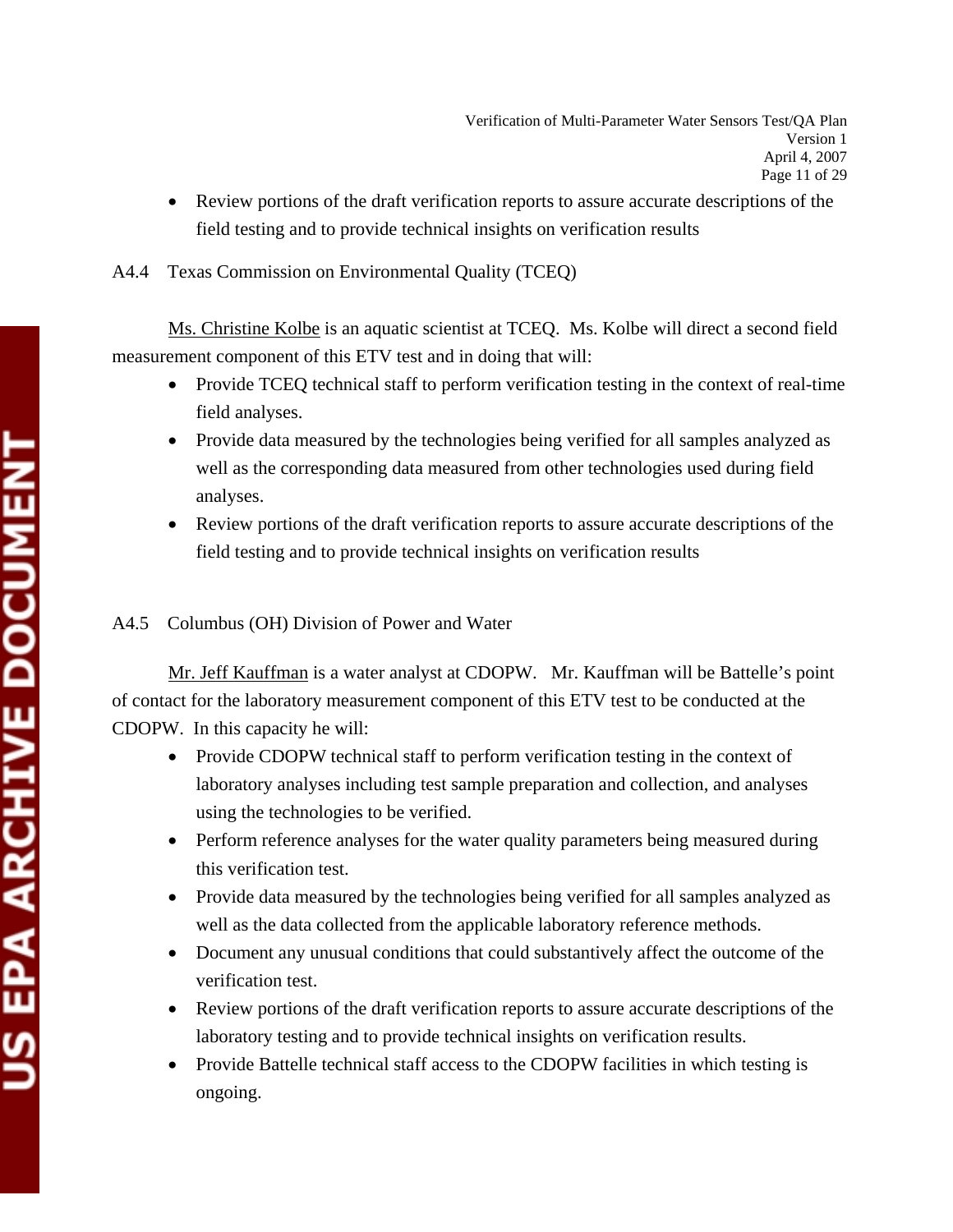• Review portions of the draft verification reports to assure accurate descriptions of the field testing and to provide technical insights on verification results

## A4.4 Texas Commission on Environmental Quality (TCEQ)

 Ms. Christine Kolbe is an aquatic scientist at TCEQ. Ms. Kolbe will direct a second field measurement component of this ETV test and in doing that will:

- Provide TCEQ technical staff to perform verification testing in the context of real-time field analyses.
- Provide data measured by the technologies being verified for all samples analyzed as well as the corresponding data measured from other technologies used during field analyses.
- Review portions of the draft verification reports to assure accurate descriptions of the field testing and to provide technical insights on verification results

## A4.5 Columbus (OH) Division of Power and Water

 Mr. Jeff Kauffman is a water analyst at CDOPW. Mr. Kauffman will be Battelle's point of contact for the laboratory measurement component of this ETV test to be conducted at the CDOPW. In this capacity he will:

- Provide CDOPW technical staff to perform verification testing in the context of laboratory analyses including test sample preparation and collection, and analyses using the technologies to be verified.
- Perform reference analyses for the water quality parameters being measured during this verification test.
- Provide data measured by the technologies being verified for all samples analyzed as well as the data collected from the applicable laboratory reference methods.
- Document any unusual conditions that could substantively affect the outcome of the verification test.
- Review portions of the draft verification reports to assure accurate descriptions of the laboratory testing and to provide technical insights on verification results.
- Provide Battelle technical staff access to the CDOPW facilities in which testing is ongoing.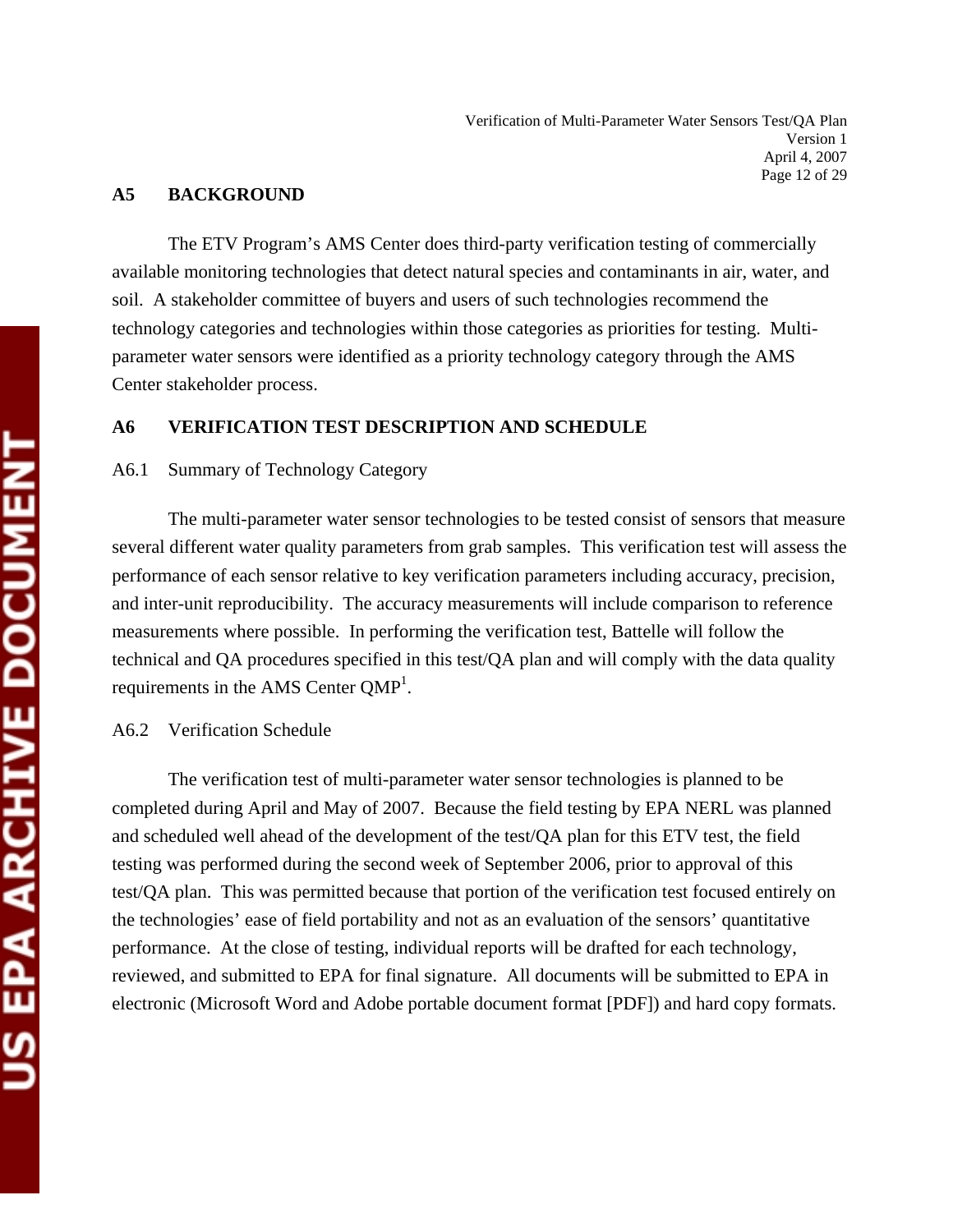#### **A5 BACKGROUND**

 The ETV Program's AMS Center does third-party verification testing of commercially available monitoring technologies that detect natural species and contaminants in air, water, and soil. A stakeholder committee of buyers and users of such technologies recommend the technology categories and technologies within those categories as priorities for testing. Multiparameter water sensors were identified as a priority technology category through the AMS Center stakeholder process.

#### **A6 VERIFICATION TEST DESCRIPTION AND SCHEDULE**

#### A6.1 Summary of Technology Category

 The multi-parameter water sensor technologies to be tested consist of sensors that measure several different water quality parameters from grab samples. This verification test will assess the performance of each sensor relative to key verification parameters including accuracy, precision, and inter-unit reproducibility. The accuracy measurements will include comparison to reference measurements where possible. In performing the verification test, Battelle will follow the technical and QA procedures specified in this test/QA plan and will comply with the data quality requirements in the AMS Center  $QMP<sup>1</sup>$ .

#### A6.2 Verification Schedule

 The verification test of multi-parameter water sensor technologies is planned to be completed during April and May of 2007. Because the field testing by EPA NERL was planned and scheduled well ahead of the development of the test/QA plan for this ETV test, the field testing was performed during the second week of September 2006, prior to approval of this test/QA plan. This was permitted because that portion of the verification test focused entirely on the technologies' ease of field portability and not as an evaluation of the sensors' quantitative performance. At the close of testing, individual reports will be drafted for each technology, reviewed, and submitted to EPA for final signature. All documents will be submitted to EPA in electronic (Microsoft Word and Adobe portable document format [PDF]) and hard copy formats.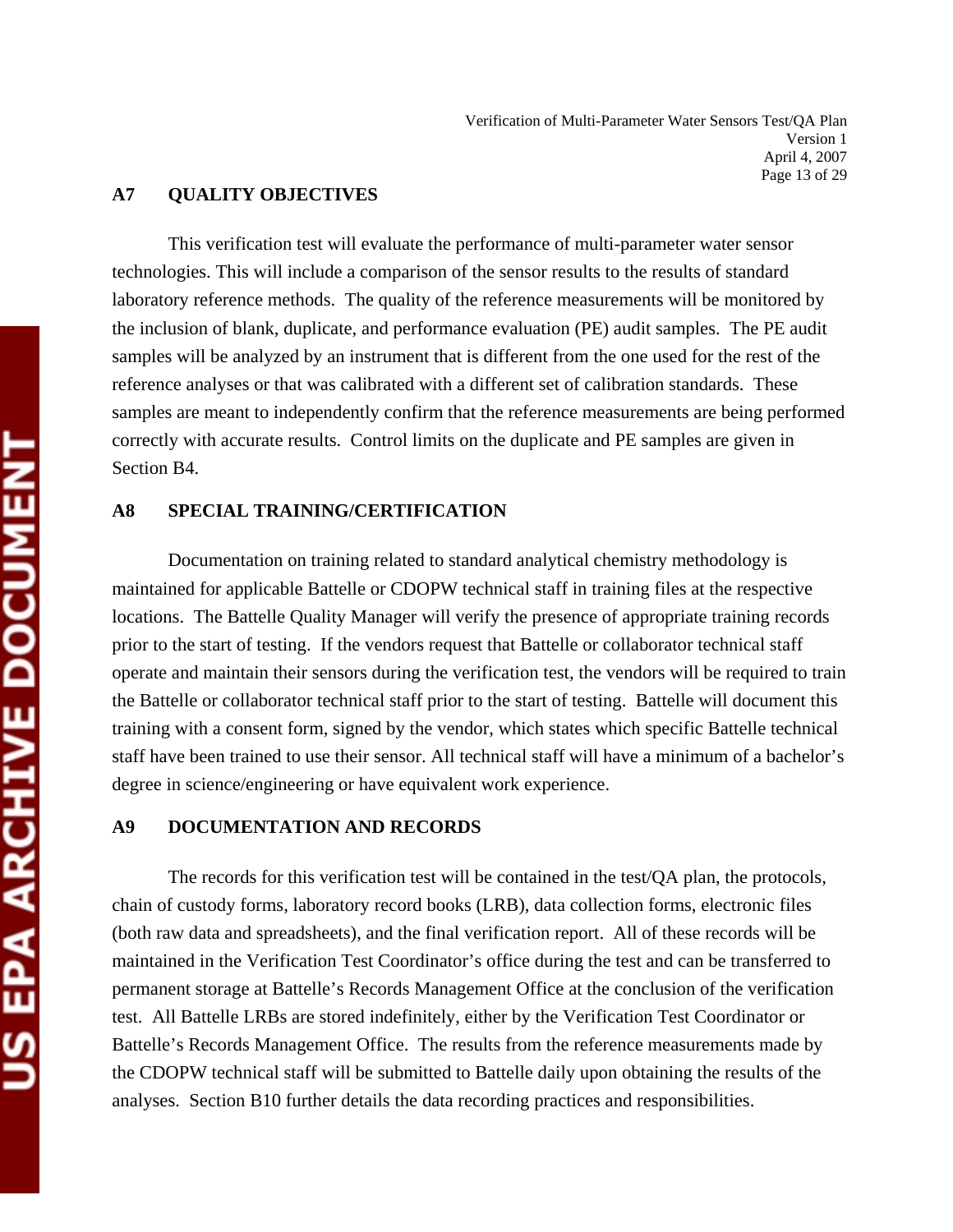#### **A7 QUALITY OBJECTIVES**

 This verification test will evaluate the performance of multi-parameter water sensor technologies. This will include a comparison of the sensor results to the results of standard laboratory reference methods. The quality of the reference measurements will be monitored by the inclusion of blank, duplicate, and performance evaluation (PE) audit samples. The PE audit samples will be analyzed by an instrument that is different from the one used for the rest of the reference analyses or that was calibrated with a different set of calibration standards. These samples are meant to independently confirm that the reference measurements are being performed correctly with accurate results. Control limits on the duplicate and PE samples are given in Section B4.

#### **A8 SPECIAL TRAINING/CERTIFICATION**

Documentation on training related to standard analytical chemistry methodology is maintained for applicable Battelle or CDOPW technical staff in training files at the respective locations. The Battelle Quality Manager will verify the presence of appropriate training records prior to the start of testing. If the vendors request that Battelle or collaborator technical staff operate and maintain their sensors during the verification test, the vendors will be required to train the Battelle or collaborator technical staff prior to the start of testing. Battelle will document this training with a consent form, signed by the vendor, which states which specific Battelle technical staff have been trained to use their sensor. All technical staff will have a minimum of a bachelor's degree in science/engineering or have equivalent work experience.

#### **A9 DOCUMENTATION AND RECORDS**

 The records for this verification test will be contained in the test/QA plan, the protocols, chain of custody forms, laboratory record books (LRB), data collection forms, electronic files (both raw data and spreadsheets), and the final verification report. All of these records will be maintained in the Verification Test Coordinator's office during the test and can be transferred to permanent storage at Battelle's Records Management Office at the conclusion of the verification test. All Battelle LRBs are stored indefinitely, either by the Verification Test Coordinator or Battelle's Records Management Office. The results from the reference measurements made by the CDOPW technical staff will be submitted to Battelle daily upon obtaining the results of the analyses. Section B10 further details the data recording practices and responsibilities.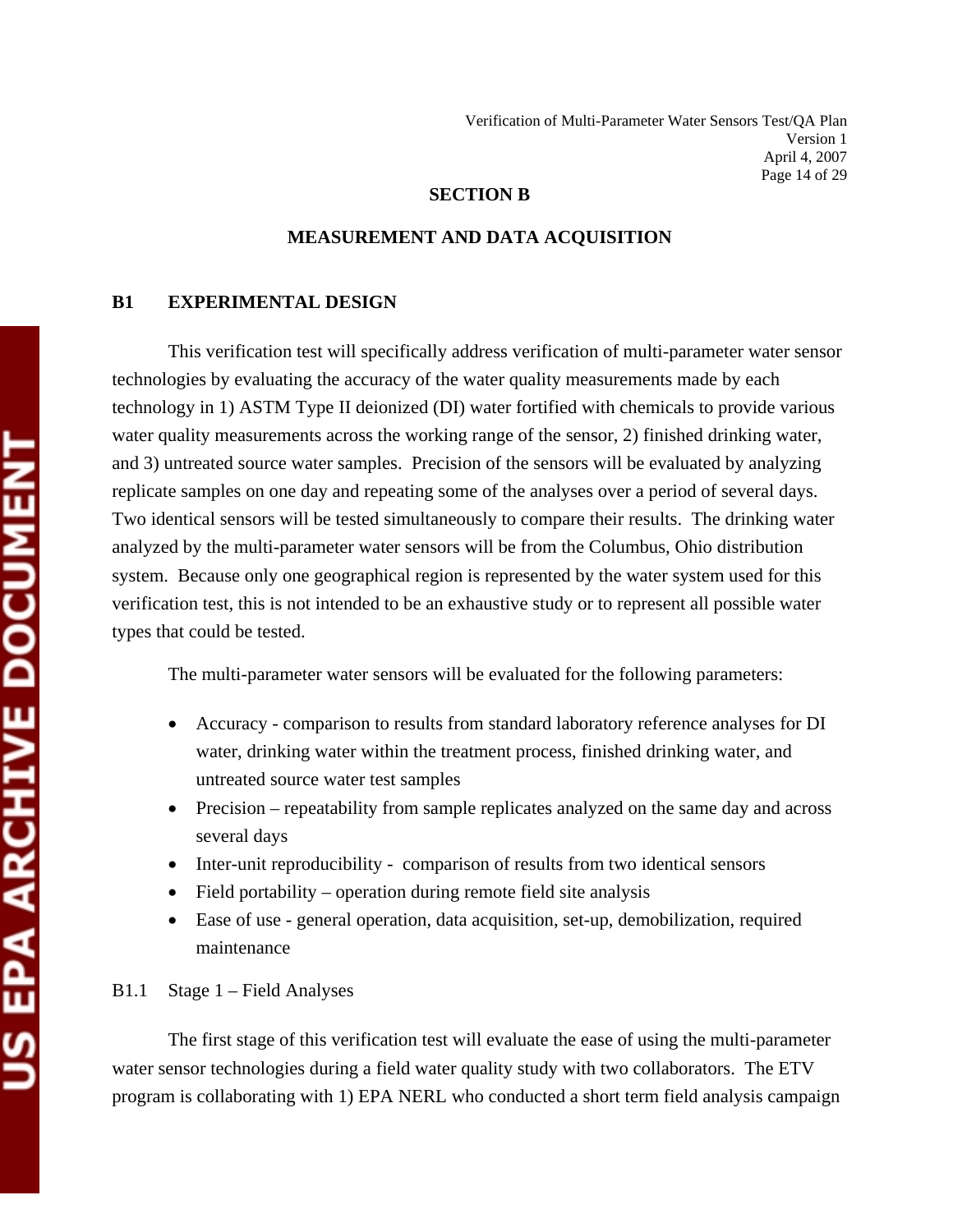#### **SECTION B**

#### **MEASUREMENT AND DATA ACQUISITION**

#### **B1 EXPERIMENTAL DESIGN**

 This verification test will specifically address verification of multi-parameter water sensor technologies by evaluating the accuracy of the water quality measurements made by each technology in 1) ASTM Type II deionized (DI) water fortified with chemicals to provide various water quality measurements across the working range of the sensor, 2) finished drinking water, and 3) untreated source water samples. Precision of the sensors will be evaluated by analyzing replicate samples on one day and repeating some of the analyses over a period of several days. Two identical sensors will be tested simultaneously to compare their results. The drinking water analyzed by the multi-parameter water sensors will be from the Columbus, Ohio distribution system. Because only one geographical region is represented by the water system used for this verification test, this is not intended to be an exhaustive study or to represent all possible water types that could be tested.

The multi-parameter water sensors will be evaluated for the following parameters:

- Accuracy comparison to results from standard laboratory reference analyses for DI water, drinking water within the treatment process, finished drinking water, and untreated source water test samples
- Precision repeatability from sample replicates analyzed on the same day and across several days
- Inter-unit reproducibility comparison of results from two identical sensors
- Field portability operation during remote field site analysis
- Ease of use general operation, data acquisition, set-up, demobilization, required maintenance

#### B1.1 Stage 1 – Field Analyses

 The first stage of this verification test will evaluate the ease of using the multi-parameter water sensor technologies during a field water quality study with two collaborators. The ETV program is collaborating with 1) EPA NERL who conducted a short term field analysis campaign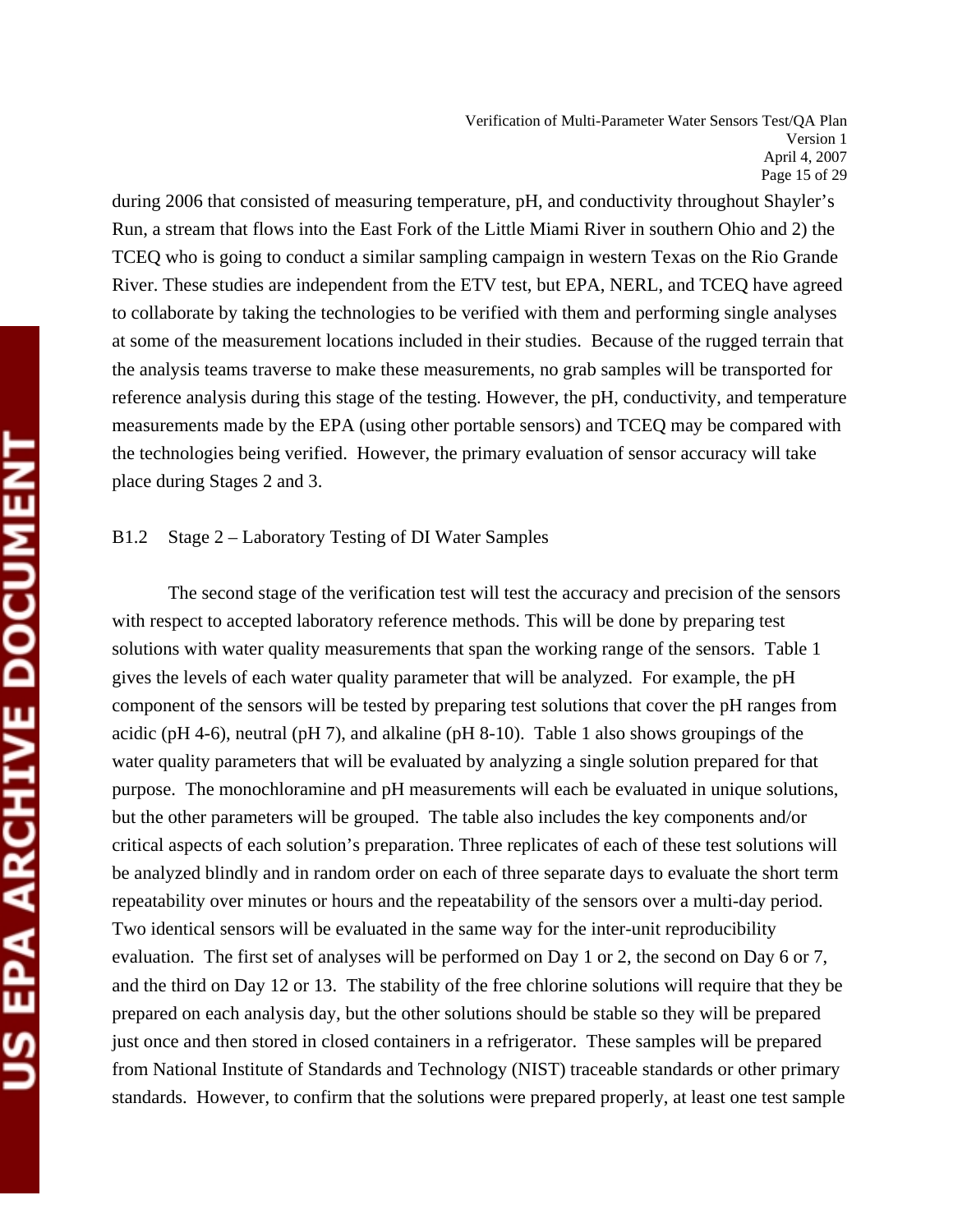Verification of Multi-Parameter Water Sensors Test/QA Plan Version 1 April 4, 2007 Page 15 of 29

during 2006 that consisted of measuring temperature, pH, and conductivity throughout Shayler's Run, a stream that flows into the East Fork of the Little Miami River in southern Ohio and 2) the TCEQ who is going to conduct a similar sampling campaign in western Texas on the Rio Grande River. These studies are independent from the ETV test, but EPA, NERL, and TCEQ have agreed to collaborate by taking the technologies to be verified with them and performing single analyses at some of the measurement locations included in their studies. Because of the rugged terrain that the analysis teams traverse to make these measurements, no grab samples will be transported for reference analysis during this stage of the testing. However, the pH, conductivity, and temperature measurements made by the EPA (using other portable sensors) and TCEQ may be compared with the technologies being verified. However, the primary evaluation of sensor accuracy will take place during Stages 2 and 3.

#### B1.2 Stage 2 – Laboratory Testing of DI Water Samples

The second stage of the verification test will test the accuracy and precision of the sensors with respect to accepted laboratory reference methods. This will be done by preparing test solutions with water quality measurements that span the working range of the sensors. Table 1 gives the levels of each water quality parameter that will be analyzed. For example, the pH component of the sensors will be tested by preparing test solutions that cover the pH ranges from acidic (pH 4-6), neutral (pH 7), and alkaline (pH 8-10). Table 1 also shows groupings of the water quality parameters that will be evaluated by analyzing a single solution prepared for that purpose. The monochloramine and pH measurements will each be evaluated in unique solutions, but the other parameters will be grouped. The table also includes the key components and/or critical aspects of each solution's preparation. Three replicates of each of these test solutions will be analyzed blindly and in random order on each of three separate days to evaluate the short term repeatability over minutes or hours and the repeatability of the sensors over a multi-day period. Two identical sensors will be evaluated in the same way for the inter-unit reproducibility evaluation. The first set of analyses will be performed on Day 1 or 2, the second on Day 6 or 7, and the third on Day 12 or 13. The stability of the free chlorine solutions will require that they be prepared on each analysis day, but the other solutions should be stable so they will be prepared just once and then stored in closed containers in a refrigerator. These samples will be prepared from National Institute of Standards and Technology (NIST) traceable standards or other primary standards. However, to confirm that the solutions were prepared properly, at least one test sample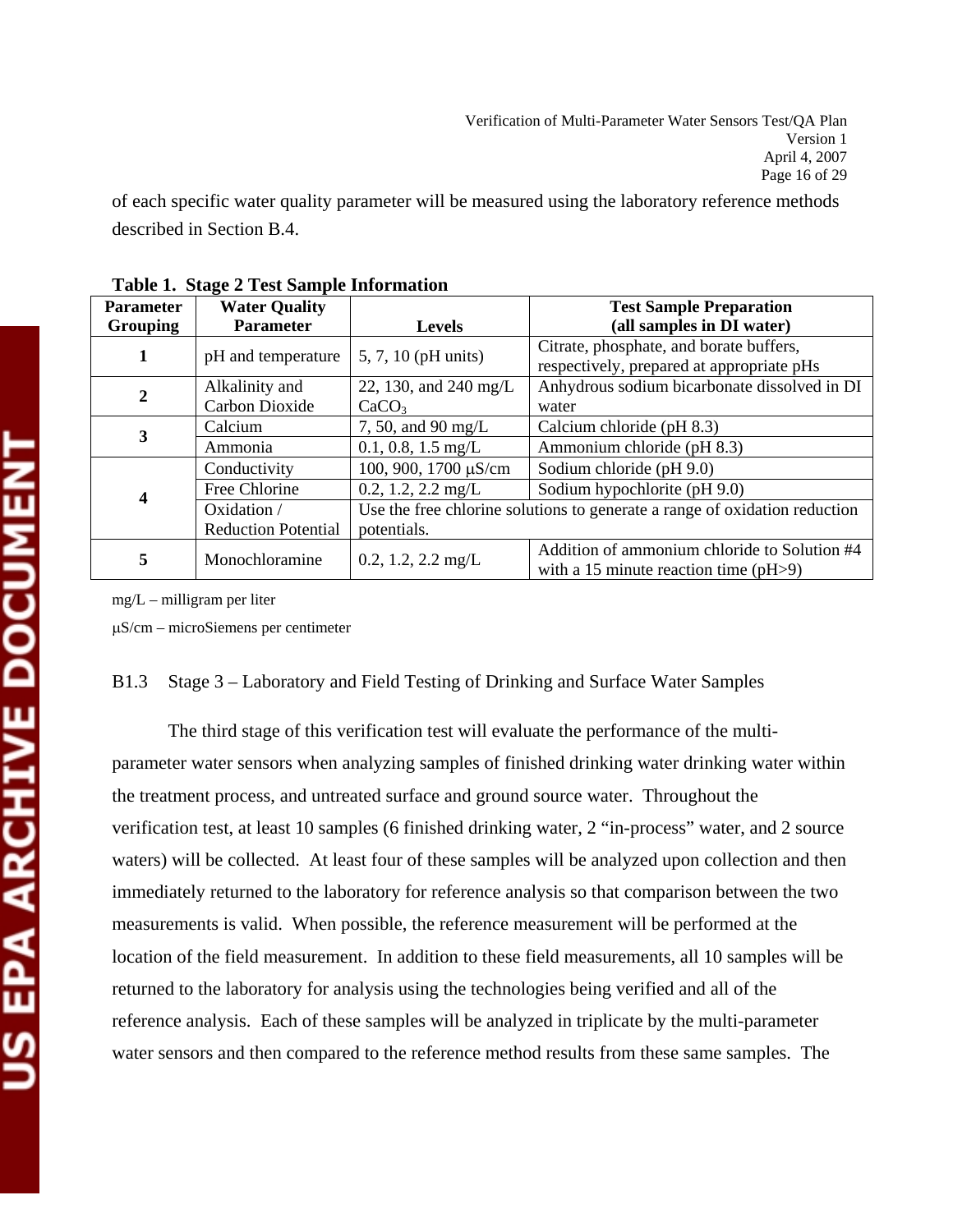of each specific water quality parameter will be measured using the laboratory reference methods described in Section B.4.

| <b>Parameter</b> | <b>Water Quality</b>       | <b>Test Sample Preparation</b>                                             |                                              |  |
|------------------|----------------------------|----------------------------------------------------------------------------|----------------------------------------------|--|
| <b>Grouping</b>  | <b>Parameter</b>           | <b>Levels</b>                                                              | (all samples in DI water)                    |  |
| 1                |                            | 5, 7, 10 (pH units)                                                        | Citrate, phosphate, and borate buffers,      |  |
|                  | pH and temperature         |                                                                            | respectively, prepared at appropriate pHs    |  |
| $\boldsymbol{2}$ | Alkalinity and             | 22, 130, and 240 mg/L                                                      | Anhydrous sodium bicarbonate dissolved in DI |  |
|                  | Carbon Dioxide             | CaCO <sub>3</sub>                                                          | water                                        |  |
| 3                | Calcium                    | 7, 50, and 90 mg/L                                                         | Calcium chloride (pH 8.3)                    |  |
|                  | Ammonia                    | $0.1, 0.8, 1.5$ mg/L                                                       | Ammonium chloride (pH 8.3)                   |  |
|                  | Conductivity               | 100, 900, 1700 μS/cm                                                       | Sodium chloride (pH 9.0)                     |  |
| 4                | Free Chlorine              | $0.2, 1.2, 2.2$ mg/L                                                       | Sodium hypochlorite (pH 9.0)                 |  |
|                  | Oxidation /                | Use the free chlorine solutions to generate a range of oxidation reduction |                                              |  |
|                  | <b>Reduction Potential</b> | potentials.                                                                |                                              |  |
| 5                | Monochloramine             | $0.2, 1.2, 2.2$ mg/L                                                       | Addition of ammonium chloride to Solution #4 |  |
|                  |                            |                                                                            | with a 15 minute reaction time $(pH>9)$      |  |

**Table 1. Stage 2 Test Sample Information** 

mg/L – milligram per liter

μS/cm – microSiemens per centimeter

#### B1.3 Stage 3 – Laboratory and Field Testing of Drinking and Surface Water Samples

The third stage of this verification test will evaluate the performance of the multiparameter water sensors when analyzing samples of finished drinking water drinking water within the treatment process, and untreated surface and ground source water. Throughout the verification test, at least 10 samples (6 finished drinking water, 2 "in-process" water, and 2 source waters) will be collected. At least four of these samples will be analyzed upon collection and then immediately returned to the laboratory for reference analysis so that comparison between the two measurements is valid. When possible, the reference measurement will be performed at the location of the field measurement. In addition to these field measurements, all 10 samples will be returned to the laboratory for analysis using the technologies being verified and all of the reference analysis. Each of these samples will be analyzed in triplicate by the multi-parameter water sensors and then compared to the reference method results from these same samples. The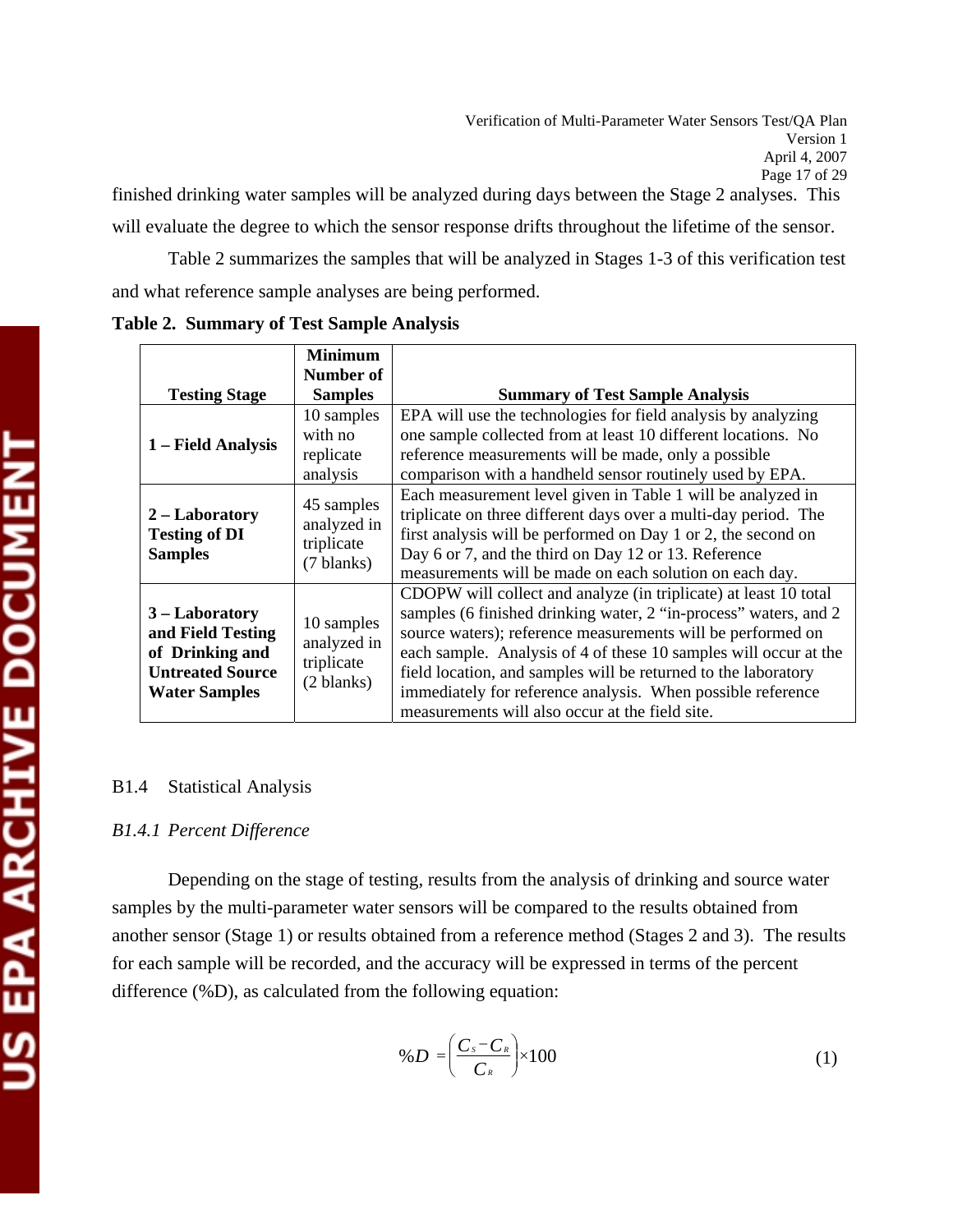will evaluate the degree to which the sensor response drifts throughout the lifetime of the sensor.

Table 2 summarizes the samples that will be analyzed in Stages 1-3 of this verification test and what reference sample analyses are being performed.

|                                                                                                                     | <b>Minimum</b><br>Number of                           |                                                                                                                                                                                                                                                                                                                                                                                                                                                             |  |
|---------------------------------------------------------------------------------------------------------------------|-------------------------------------------------------|-------------------------------------------------------------------------------------------------------------------------------------------------------------------------------------------------------------------------------------------------------------------------------------------------------------------------------------------------------------------------------------------------------------------------------------------------------------|--|
| <b>Testing Stage</b>                                                                                                | <b>Samples</b>                                        | <b>Summary of Test Sample Analysis</b>                                                                                                                                                                                                                                                                                                                                                                                                                      |  |
| 1 – Field Analysis                                                                                                  | 10 samples<br>with no<br>replicate<br>analysis        | EPA will use the technologies for field analysis by analyzing<br>one sample collected from at least 10 different locations. No<br>reference measurements will be made, only a possible<br>comparison with a handheld sensor routinely used by EPA.                                                                                                                                                                                                          |  |
| 45 samples<br>$2 -$ Laboratory<br>analyzed in<br><b>Testing of DI</b><br>triplicate<br><b>Samples</b><br>(7 blanks) |                                                       | Each measurement level given in Table 1 will be analyzed in<br>triplicate on three different days over a multi-day period. The<br>first analysis will be performed on Day 1 or 2, the second on<br>Day 6 or 7, and the third on Day 12 or 13. Reference<br>measurements will be made on each solution on each day.                                                                                                                                          |  |
| $3 -$ Laboratory<br>and Field Testing<br>of Drinking and<br><b>Untreated Source</b><br><b>Water Samples</b>         | 10 samples<br>analyzed in<br>triplicate<br>(2 blanks) | CDOPW will collect and analyze (in triplicate) at least 10 total<br>samples (6 finished drinking water, 2 "in-process" waters, and 2<br>source waters); reference measurements will be performed on<br>each sample. Analysis of 4 of these 10 samples will occur at the<br>field location, and samples will be returned to the laboratory<br>immediately for reference analysis. When possible reference<br>measurements will also occur at the field site. |  |

**Table 2. Summary of Test Sample Analysis** 

## B1.4 Statistical Analysis

## *B1.4.1 Percent Difference*

 Depending on the stage of testing, results from the analysis of drinking and source water samples by the multi-parameter water sensors will be compared to the results obtained from another sensor (Stage 1) or results obtained from a reference method (Stages 2 and 3). The results for each sample will be recorded, and the accuracy will be expressed in terms of the percent difference (%D), as calculated from the following equation:

$$
\%D = \left(\frac{C_s - C_{\kappa}}{C_{\kappa}}\right) \times 100\tag{1}
$$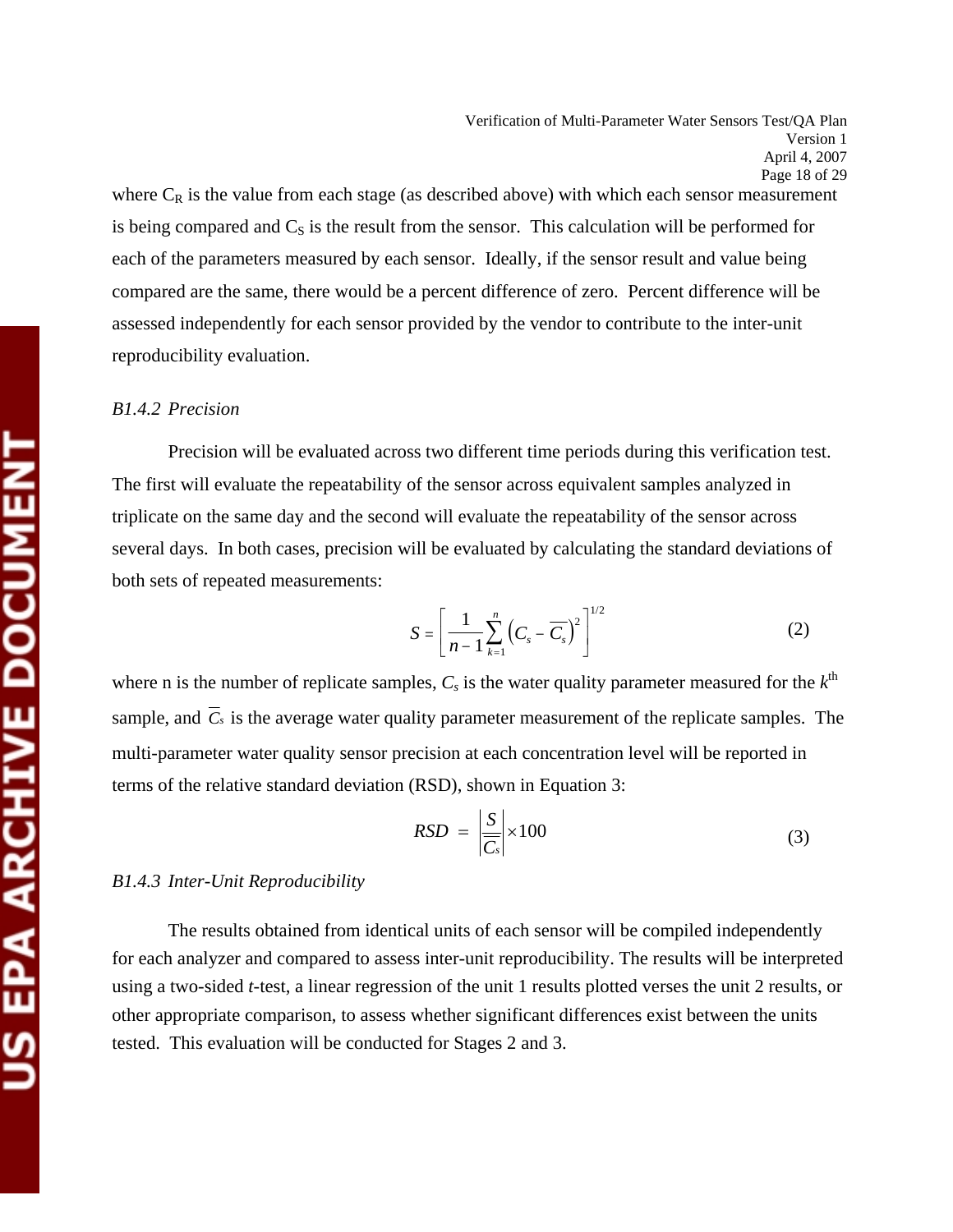where  $C_R$  is the value from each stage (as described above) with which each sensor measurement is being compared and  $C<sub>S</sub>$  is the result from the sensor. This calculation will be performed for each of the parameters measured by each sensor. Ideally, if the sensor result and value being compared are the same, there would be a percent difference of zero. Percent difference will be assessed independently for each sensor provided by the vendor to contribute to the inter-unit reproducibility evaluation.

#### *B1.4.2 Precision*

Precision will be evaluated across two different time periods during this verification test. The first will evaluate the repeatability of the sensor across equivalent samples analyzed in triplicate on the same day and the second will evaluate the repeatability of the sensor across several days. In both cases, precision will be evaluated by calculating the standard deviations of both sets of repeated measurements:

$$
S = \left[\frac{1}{n-1} \sum_{k=1}^{n} \left(C_s - \overline{C_s}\right)^2\right]^{1/2}
$$
 (2)

where n is the number of replicate samples,  $C_s$  is the water quality parameter measured for the  $k^{\text{th}}$ sample, and  $\overline{C}_s$  is the average water quality parameter measurement of the replicate samples. The multi-parameter water quality sensor precision at each concentration level will be reported in terms of the relative standard deviation (RSD), shown in Equation 3:

$$
RSD = \left| \frac{S}{\overline{C_s}} \right| \times 100 \tag{3}
$$

#### *B1.4.3 Inter-Unit Reproducibility*

 The results obtained from identical units of each sensor will be compiled independently for each analyzer and compared to assess inter-unit reproducibility. The results will be interpreted using a two-sided *t*-test, a linear regression of the unit 1 results plotted verses the unit 2 results, or other appropriate comparison, to assess whether significant differences exist between the units tested. This evaluation will be conducted for Stages 2 and 3.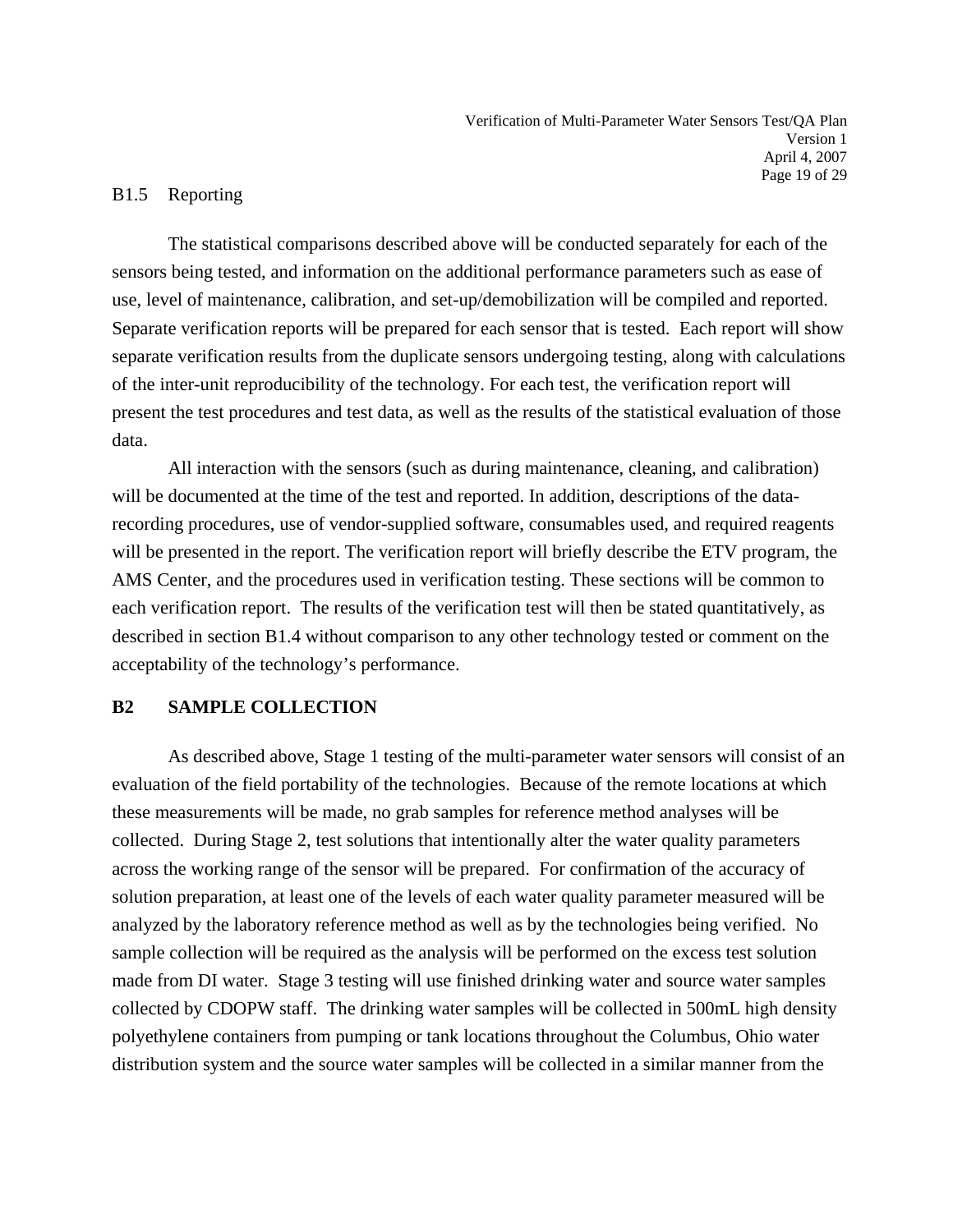## B1.5 Reporting

 The statistical comparisons described above will be conducted separately for each of the sensors being tested, and information on the additional performance parameters such as ease of use, level of maintenance, calibration, and set-up/demobilization will be compiled and reported. Separate verification reports will be prepared for each sensor that is tested. Each report will show separate verification results from the duplicate sensors undergoing testing, along with calculations of the inter-unit reproducibility of the technology. For each test, the verification report will present the test procedures and test data, as well as the results of the statistical evaluation of those data.

 All interaction with the sensors (such as during maintenance, cleaning, and calibration) will be documented at the time of the test and reported. In addition, descriptions of the datarecording procedures, use of vendor-supplied software, consumables used, and required reagents will be presented in the report. The verification report will briefly describe the ETV program, the AMS Center, and the procedures used in verification testing. These sections will be common to each verification report. The results of the verification test will then be stated quantitatively, as described in section B1.4 without comparison to any other technology tested or comment on the acceptability of the technology's performance.

## **B2 SAMPLE COLLECTION**

 As described above, Stage 1 testing of the multi-parameter water sensors will consist of an evaluation of the field portability of the technologies. Because of the remote locations at which these measurements will be made, no grab samples for reference method analyses will be collected. During Stage 2, test solutions that intentionally alter the water quality parameters across the working range of the sensor will be prepared. For confirmation of the accuracy of solution preparation, at least one of the levels of each water quality parameter measured will be analyzed by the laboratory reference method as well as by the technologies being verified. No sample collection will be required as the analysis will be performed on the excess test solution made from DI water. Stage 3 testing will use finished drinking water and source water samples collected by CDOPW staff. The drinking water samples will be collected in 500mL high density polyethylene containers from pumping or tank locations throughout the Columbus, Ohio water distribution system and the source water samples will be collected in a similar manner from the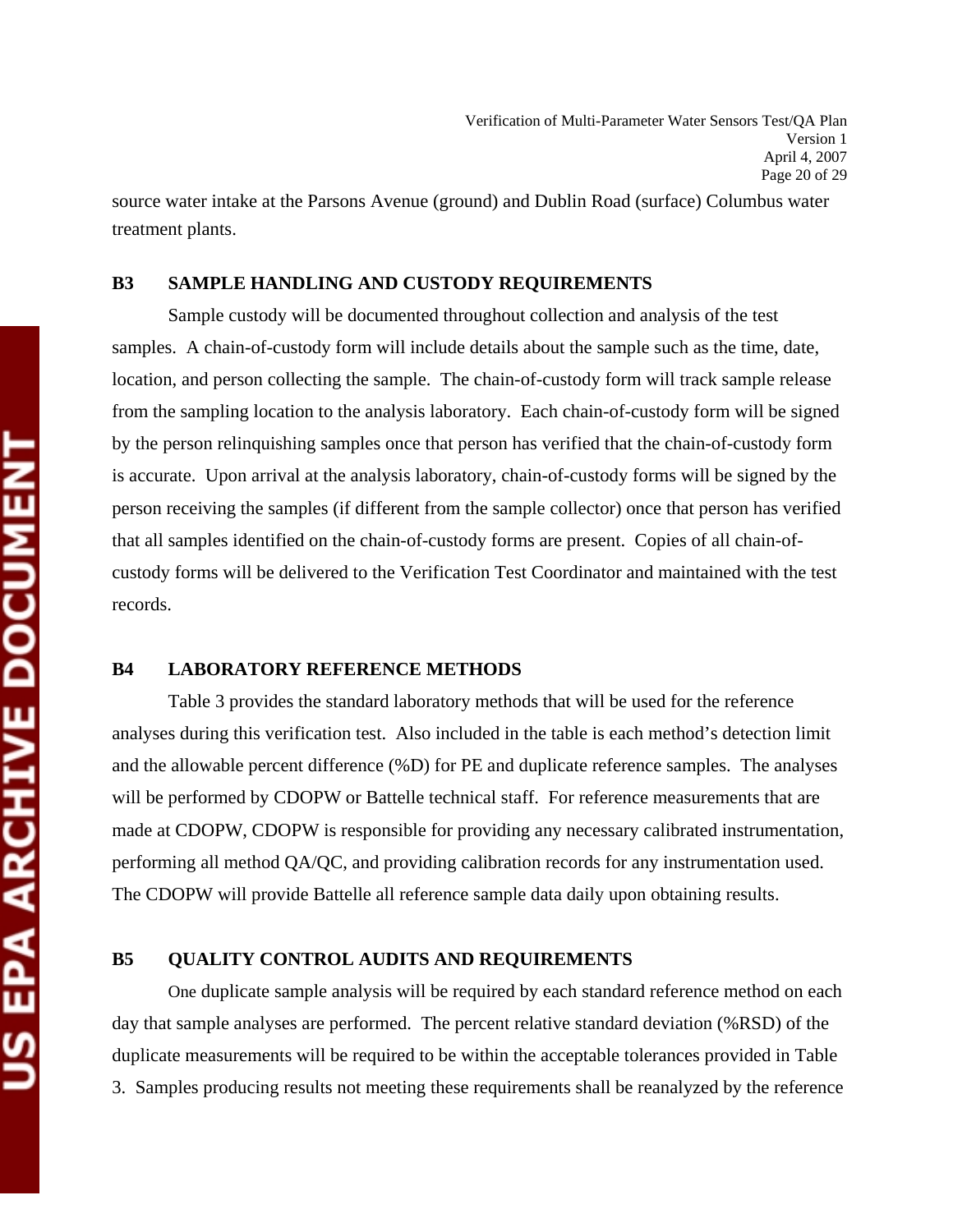source water intake at the Parsons Avenue (ground) and Dublin Road (surface) Columbus water treatment plants.

#### **B3 SAMPLE HANDLING AND CUSTODY REQUIREMENTS**

 Sample custody will be documented throughout collection and analysis of the test samples. A chain-of-custody form will include details about the sample such as the time, date, location, and person collecting the sample. The chain-of-custody form will track sample release from the sampling location to the analysis laboratory. Each chain-of-custody form will be signed by the person relinquishing samples once that person has verified that the chain-of-custody form is accurate. Upon arrival at the analysis laboratory, chain-of-custody forms will be signed by the person receiving the samples (if different from the sample collector) once that person has verified that all samples identified on the chain-of-custody forms are present. Copies of all chain-ofcustody forms will be delivered to the Verification Test Coordinator and maintained with the test records.

#### **B4 LABORATORY REFERENCE METHODS**

 Table 3 provides the standard laboratory methods that will be used for the reference analyses during this verification test. Also included in the table is each method's detection limit and the allowable percent difference (%D) for PE and duplicate reference samples. The analyses will be performed by CDOPW or Battelle technical staff. For reference measurements that are made at CDOPW, CDOPW is responsible for providing any necessary calibrated instrumentation, performing all method QA/QC, and providing calibration records for any instrumentation used. The CDOPW will provide Battelle all reference sample data daily upon obtaining results.

## **B5 QUALITY CONTROL AUDITS AND REQUIREMENTS**

One duplicate sample analysis will be required by each standard reference method on each day that sample analyses are performed. The percent relative standard deviation (%RSD) of the duplicate measurements will be required to be within the acceptable tolerances provided in Table 3.Samples producing results not meeting these requirements shall be reanalyzed by the reference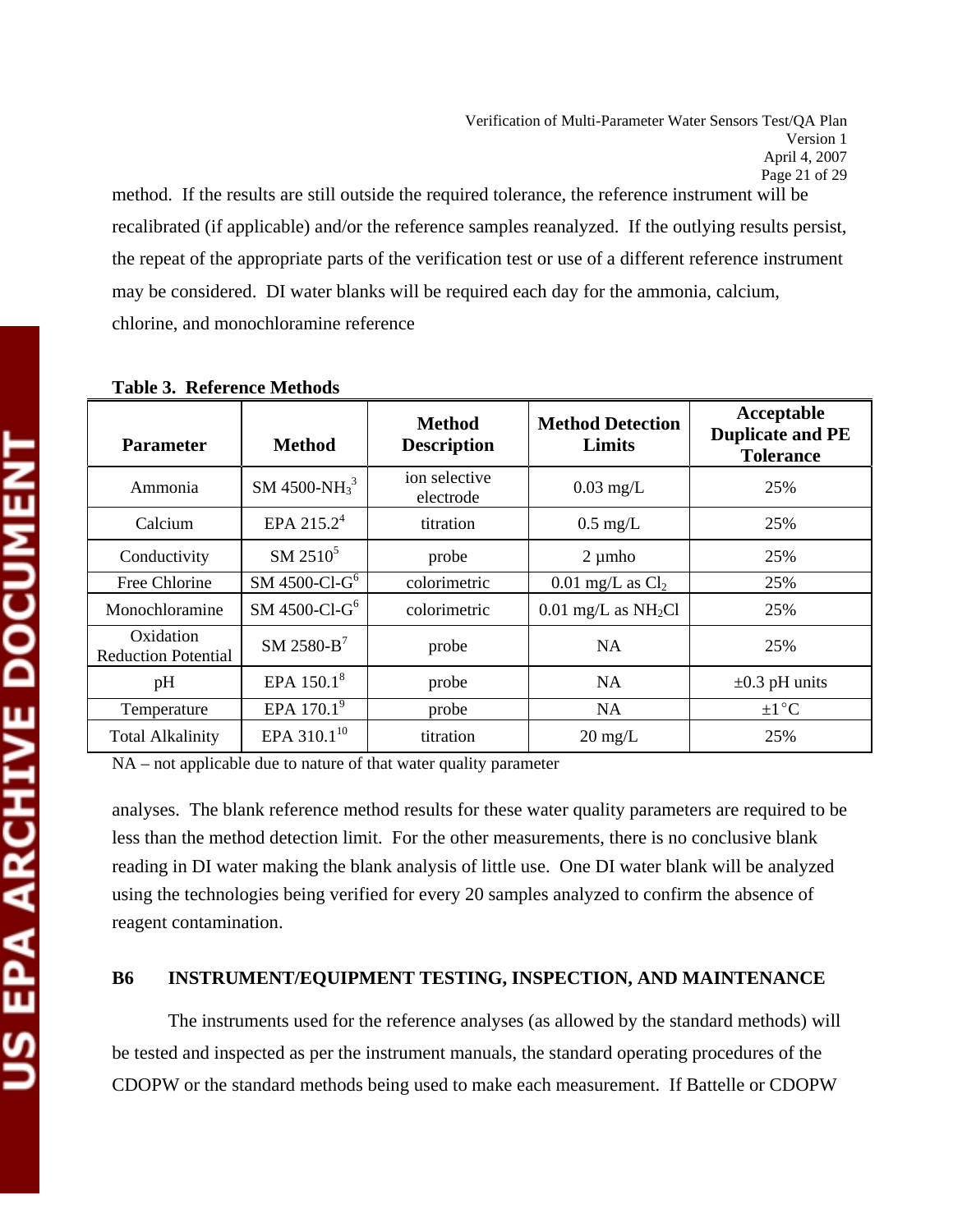method. If the results are still outside the required tolerance, the reference instrument will be recalibrated (if applicable) and/or the reference samples reanalyzed. If the outlying results persist, the repeat of the appropriate parts of the verification test or use of a different reference instrument may be considered. DI water blanks will be required each day for the ammonia, calcium, chlorine, and monochloramine reference

| <b>Parameter</b>                        | <b>Method</b>               | <b>Method</b><br><b>Description</b> | <b>Method Detection</b><br>Limits | Acceptable<br><b>Duplicate and PE</b><br><b>Tolerance</b> |
|-----------------------------------------|-----------------------------|-------------------------------------|-----------------------------------|-----------------------------------------------------------|
| Ammonia                                 | SM 4500-NH $_3^3$           | ion selective<br>electrode          | $0.03$ mg/L                       | 25%                                                       |
| Calcium                                 | EPA 215.2 <sup>4</sup>      | titration                           | $0.5 \text{ mg/L}$                | 25%                                                       |
| Conductivity                            | $SM 2510^5$                 | probe                               | $2 \mu m$ ho                      | 25%                                                       |
| Free Chlorine                           | SM 4500-Cl- $G6$            | colorimetric                        | $0.01$ mg/L as $Cl2$              | 25%                                                       |
| Monochloramine                          | $SM$ 4500-Cl-G <sup>6</sup> | colorimetric                        | $0.01$ mg/L as NH <sub>2</sub> Cl | 25%                                                       |
| Oxidation<br><b>Reduction Potential</b> | $SM$ 2580- $B$ <sup>7</sup> | probe                               | NA.                               | 25%                                                       |
| pH                                      | EPA 150.1 <sup>8</sup>      | probe                               | NA                                | $\pm 0.3$ pH units                                        |
| Temperature                             | EPA 170.1 <sup>9</sup>      | probe                               | NA.                               | $\pm 1$ °C                                                |
| <b>Total Alkalinity</b>                 | EPA 310.1 <sup>10</sup>     | titration                           | $20 \text{ mg/L}$                 | 25%                                                       |

|  |  | <b>Table 3. Reference Methods</b> |  |
|--|--|-----------------------------------|--|
|--|--|-----------------------------------|--|

NA – not applicable due to nature of that water quality parameter

analyses. The blank reference method results for these water quality parameters are required to be less than the method detection limit. For the other measurements, there is no conclusive blank reading in DI water making the blank analysis of little use. One DI water blank will be analyzed using the technologies being verified for every 20 samples analyzed to confirm the absence of reagent contamination.

## **B6 INSTRUMENT/EQUIPMENT TESTING, INSPECTION, AND MAINTENANCE**

 The instruments used for the reference analyses (as allowed by the standard methods) will be tested and inspected as per the instrument manuals, the standard operating procedures of the CDOPW or the standard methods being used to make each measurement. If Battelle or CDOPW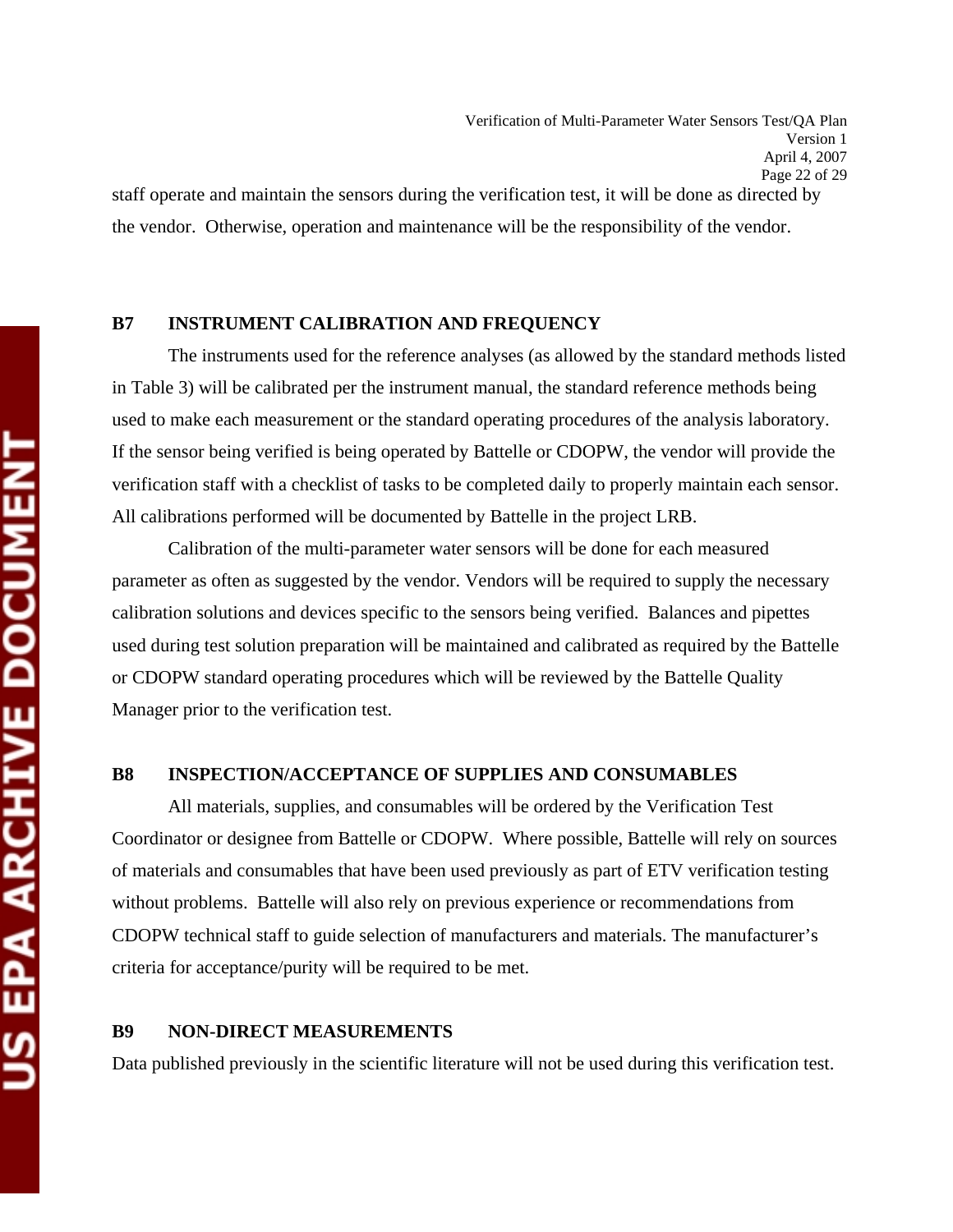the vendor. Otherwise, operation and maintenance will be the responsibility of the vendor.

#### **B7 INSTRUMENT CALIBRATION AND FREQUENCY**

 The instruments used for the reference analyses (as allowed by the standard methods listed in Table 3) will be calibrated per the instrument manual, the standard reference methods being used to make each measurement or the standard operating procedures of the analysis laboratory. If the sensor being verified is being operated by Battelle or CDOPW, the vendor will provide the verification staff with a checklist of tasks to be completed daily to properly maintain each sensor. All calibrations performed will be documented by Battelle in the project LRB.

 Calibration of the multi-parameter water sensors will be done for each measured parameter as often as suggested by the vendor. Vendors will be required to supply the necessary calibration solutions and devices specific to the sensors being verified. Balances and pipettes used during test solution preparation will be maintained and calibrated as required by the Battelle or CDOPW standard operating procedures which will be reviewed by the Battelle Quality Manager prior to the verification test.

#### **B8 INSPECTION/ACCEPTANCE OF SUPPLIES AND CONSUMABLES**

 All materials, supplies, and consumables will be ordered by the Verification Test Coordinator or designee from Battelle or CDOPW. Where possible, Battelle will rely on sources of materials and consumables that have been used previously as part of ETV verification testing without problems. Battelle will also rely on previous experience or recommendations from CDOPW technical staff to guide selection of manufacturers and materials. The manufacturer's criteria for acceptance/purity will be required to be met.

## **B9 NON-DIRECT MEASUREMENTS**

Data published previously in the scientific literature will not be used during this verification test.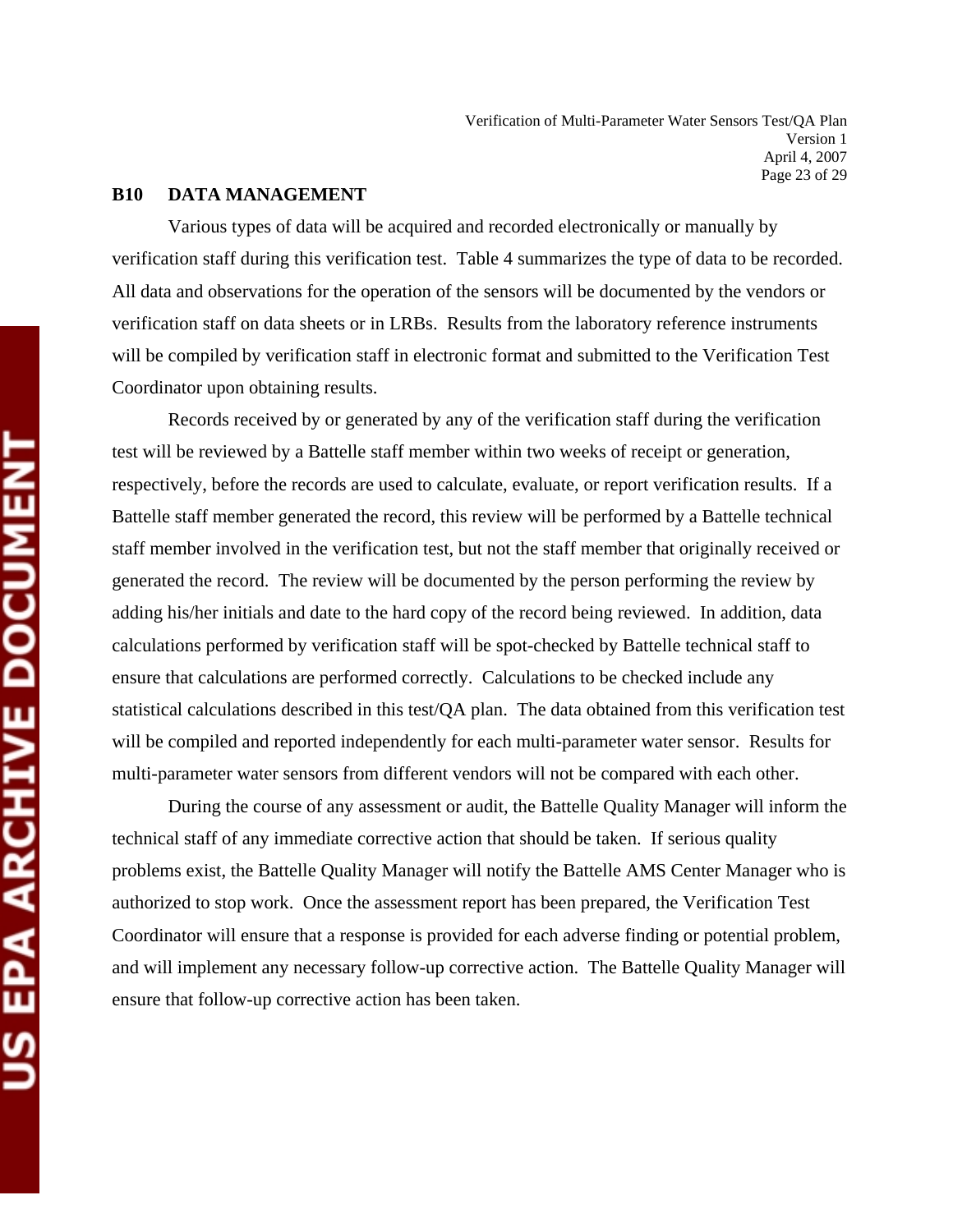#### **B10 DATA MANAGEMENT**

 Various types of data will be acquired and recorded electronically or manually by verification staff during this verification test. Table 4 summarizes the type of data to be recorded. All data and observations for the operation of the sensors will be documented by the vendors or verification staff on data sheets or in LRBs. Results from the laboratory reference instruments will be compiled by verification staff in electronic format and submitted to the Verification Test Coordinator upon obtaining results.

 Records received by or generated by any of the verification staff during the verification test will be reviewed by a Battelle staff member within two weeks of receipt or generation, respectively, before the records are used to calculate, evaluate, or report verification results. If a Battelle staff member generated the record, this review will be performed by a Battelle technical staff member involved in the verification test, but not the staff member that originally received or generated the record. The review will be documented by the person performing the review by adding his/her initials and date to the hard copy of the record being reviewed. In addition, data calculations performed by verification staff will be spot-checked by Battelle technical staff to ensure that calculations are performed correctly. Calculations to be checked include any statistical calculations described in this test/QA plan. The data obtained from this verification test will be compiled and reported independently for each multi-parameter water sensor. Results for multi-parameter water sensors from different vendors will not be compared with each other.

 During the course of any assessment or audit, the Battelle Quality Manager will inform the technical staff of any immediate corrective action that should be taken. If serious quality problems exist, the Battelle Quality Manager will notify the Battelle AMS Center Manager who is authorized to stop work. Once the assessment report has been prepared, the Verification Test Coordinator will ensure that a response is provided for each adverse finding or potential problem, and will implement any necessary follow-up corrective action. The Battelle Quality Manager will ensure that follow-up corrective action has been taken.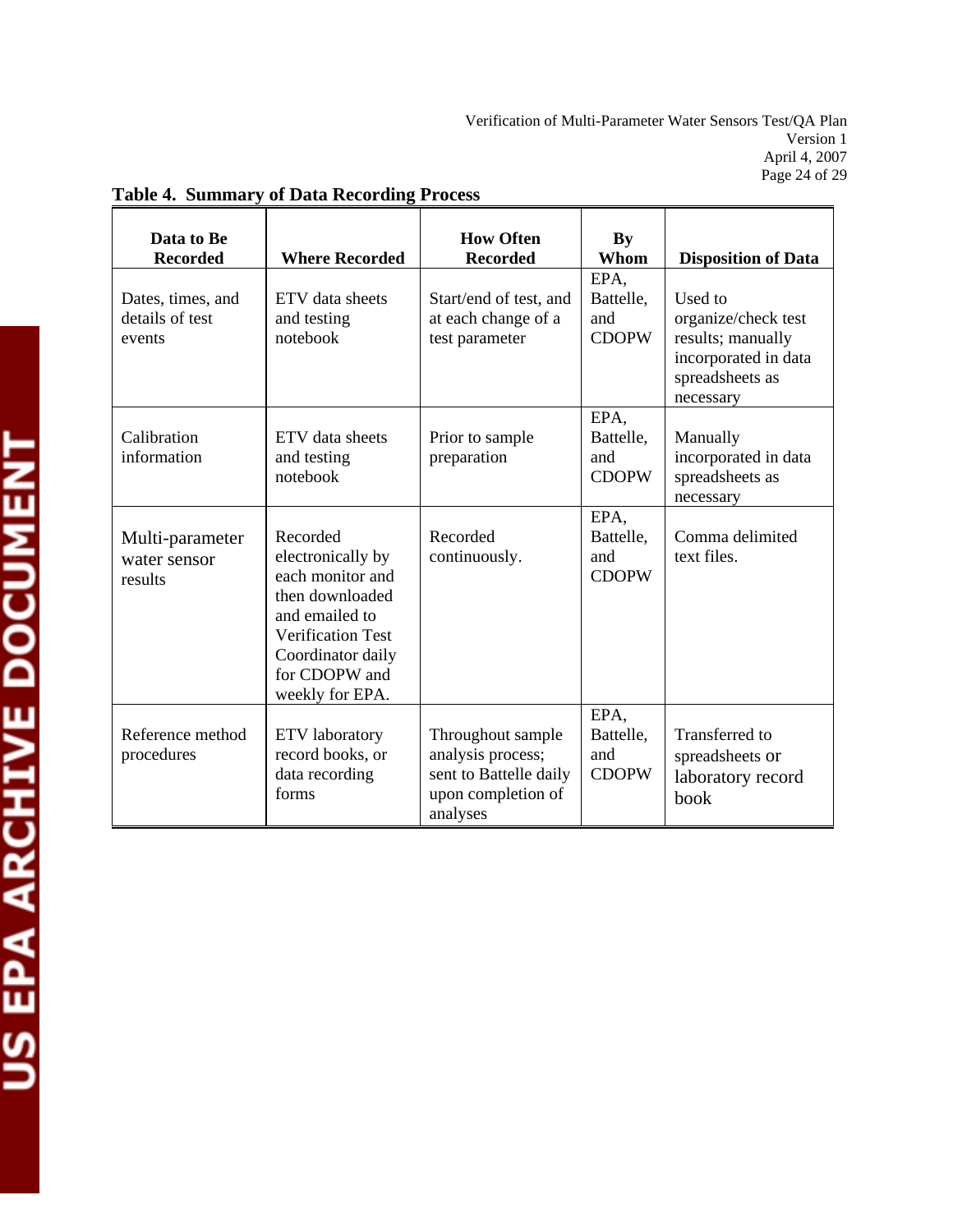| Data to Be<br><b>Recorded</b>                  | <b>Where Recorded</b>                                                                                                                                                       | <b>How Often</b><br><b>Recorded</b>                                                                | By<br>Whom                               | <b>Disposition of Data</b>                                                                                  |
|------------------------------------------------|-----------------------------------------------------------------------------------------------------------------------------------------------------------------------------|----------------------------------------------------------------------------------------------------|------------------------------------------|-------------------------------------------------------------------------------------------------------------|
| Dates, times, and<br>details of test<br>events | ETV data sheets<br>and testing<br>notebook                                                                                                                                  | Start/end of test, and<br>at each change of a<br>test parameter                                    | EPA,<br>Battelle,<br>and<br><b>CDOPW</b> | Used to<br>organize/check test<br>results; manually<br>incorporated in data<br>spreadsheets as<br>necessary |
| Calibration<br>information                     | ETV data sheets<br>and testing<br>notebook                                                                                                                                  | Prior to sample<br>preparation                                                                     | EPA,<br>Battelle,<br>and<br><b>CDOPW</b> | Manually<br>incorporated in data<br>spreadsheets as<br>necessary                                            |
| Multi-parameter<br>water sensor<br>results     | Recorded<br>electronically by<br>each monitor and<br>then downloaded<br>and emailed to<br><b>Verification Test</b><br>Coordinator daily<br>for CDOPW and<br>weekly for EPA. | Recorded<br>continuously.                                                                          | EPA,<br>Battelle,<br>and<br><b>CDOPW</b> | Comma delimited<br>text files.                                                                              |
| Reference method<br>procedures                 | <b>ETV</b> laboratory<br>record books, or<br>data recording<br>forms                                                                                                        | Throughout sample<br>analysis process;<br>sent to Battelle daily<br>upon completion of<br>analyses | EPA,<br>Battelle,<br>and<br><b>CDOPW</b> | Transferred to<br>spreadsheets or<br>laboratory record<br>book                                              |

## **Table 4. Summary of Data Recording Process**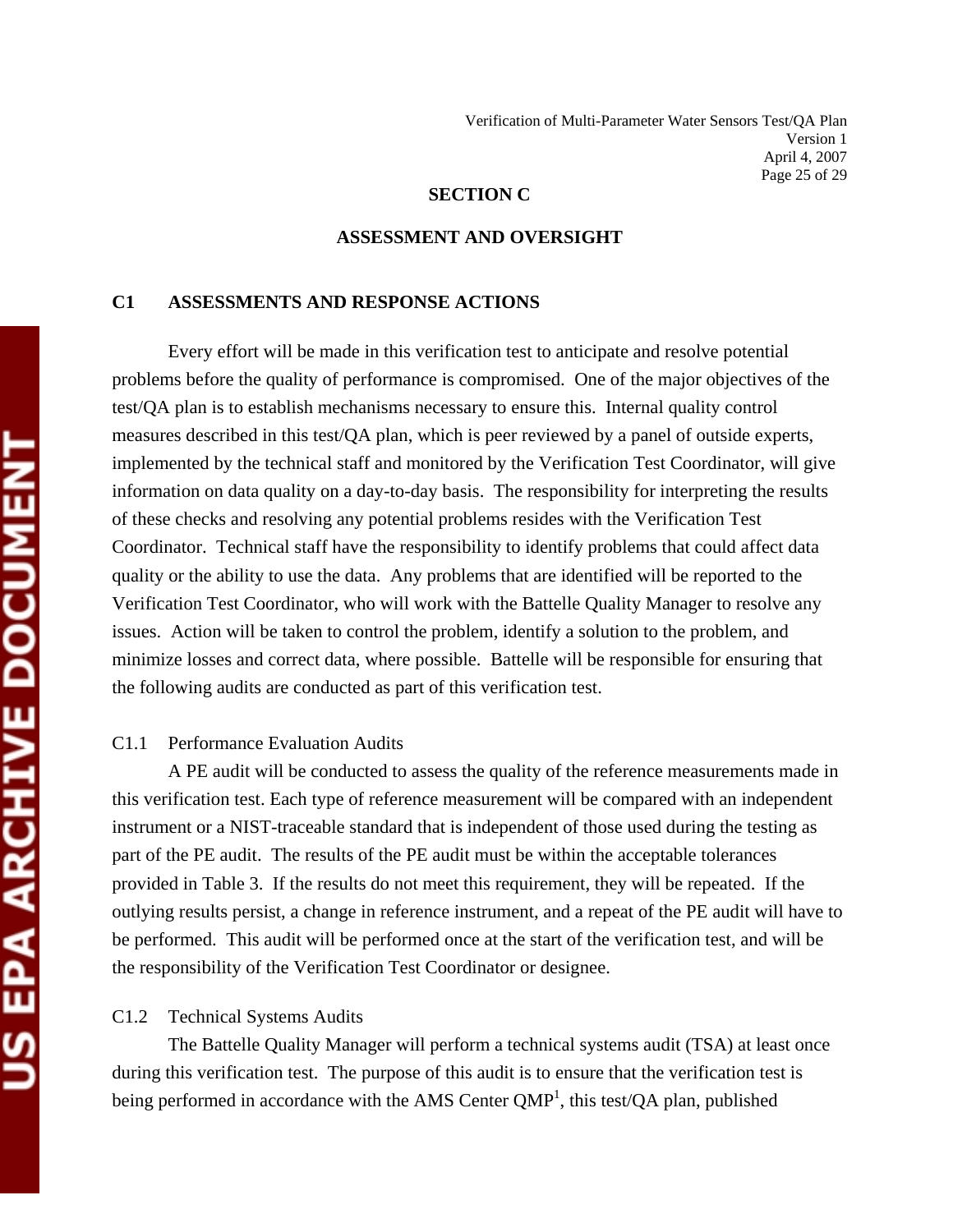#### **SECTION C**

#### **ASSESSMENT AND OVERSIGHT**

#### **C1 ASSESSMENTS AND RESPONSE ACTIONS**

 Every effort will be made in this verification test to anticipate and resolve potential problems before the quality of performance is compromised. One of the major objectives of the test/QA plan is to establish mechanisms necessary to ensure this. Internal quality control measures described in this test/QA plan, which is peer reviewed by a panel of outside experts, implemented by the technical staff and monitored by the Verification Test Coordinator, will give information on data quality on a day-to-day basis. The responsibility for interpreting the results of these checks and resolving any potential problems resides with the Verification Test Coordinator. Technical staff have the responsibility to identify problems that could affect data quality or the ability to use the data. Any problems that are identified will be reported to the Verification Test Coordinator, who will work with the Battelle Quality Manager to resolve any issues. Action will be taken to control the problem, identify a solution to the problem, and minimize losses and correct data, where possible. Battelle will be responsible for ensuring that the following audits are conducted as part of this verification test.

#### C1.1 Performance Evaluation Audits

 A PE audit will be conducted to assess the quality of the reference measurements made in this verification test. Each type of reference measurement will be compared with an independent instrument or a NIST-traceable standard that is independent of those used during the testing as part of the PE audit. The results of the PE audit must be within the acceptable tolerances provided in Table 3. If the results do not meet this requirement, they will be repeated. If the outlying results persist, a change in reference instrument, and a repeat of the PE audit will have to be performed. This audit will be performed once at the start of the verification test, and will be the responsibility of the Verification Test Coordinator or designee.

#### C1.2 Technical Systems Audits

 The Battelle Quality Manager will perform a technical systems audit (TSA) at least once during this verification test. The purpose of this audit is to ensure that the verification test is being performed in accordance with the AMS Center  $QMP<sup>1</sup>$ , this test/ $QA$  plan, published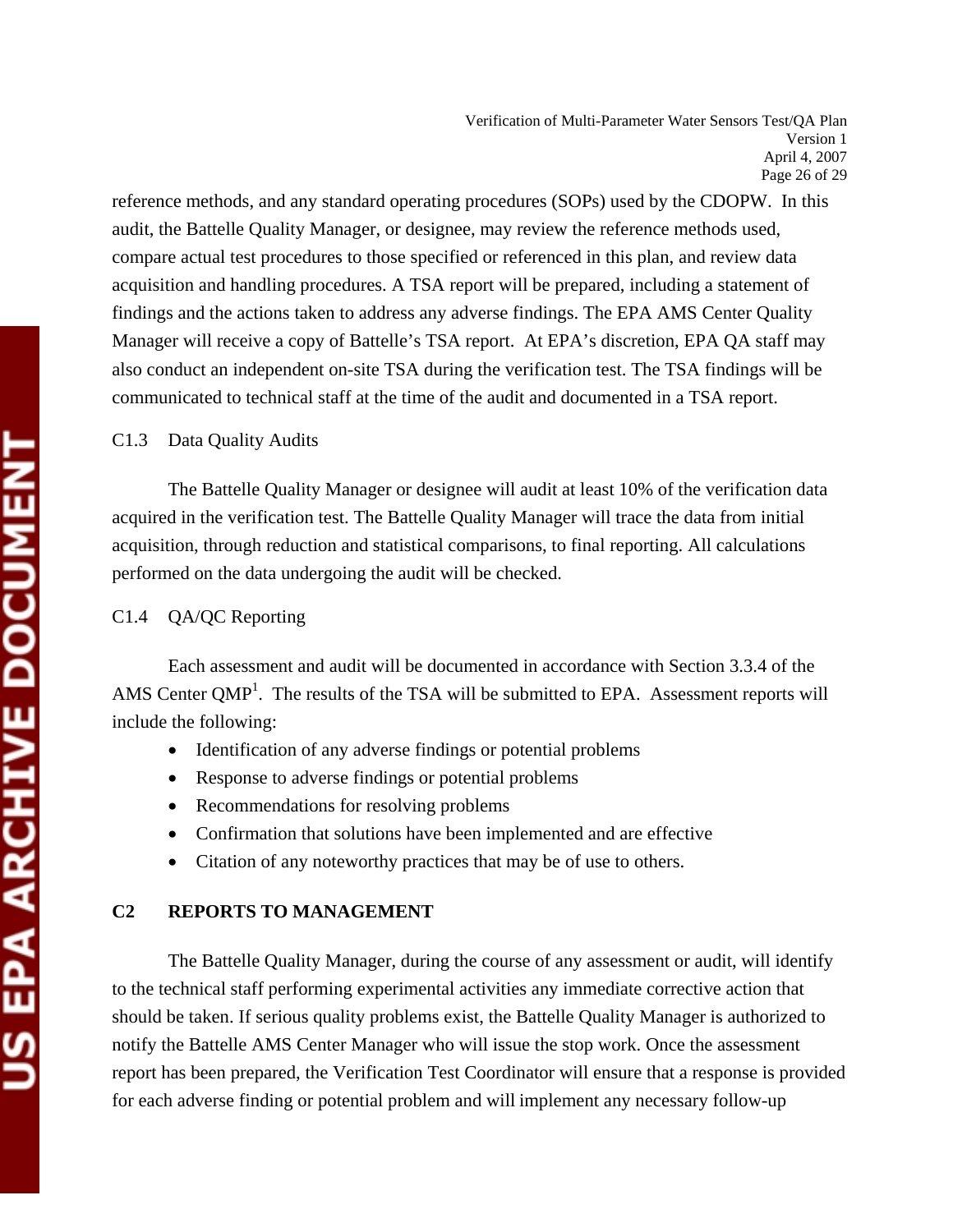Verification of Multi-Parameter Water Sensors Test/QA Plan Version 1 April 4, 2007 Page 26 of 29

reference methods, and any standard operating procedures (SOPs) used by the CDOPW. In this audit, the Battelle Quality Manager, or designee, may review the reference methods used, compare actual test procedures to those specified or referenced in this plan, and review data acquisition and handling procedures. A TSA report will be prepared, including a statement of findings and the actions taken to address any adverse findings. The EPA AMS Center Quality Manager will receive a copy of Battelle's TSA report. At EPA's discretion, EPA QA staff may also conduct an independent on-site TSA during the verification test. The TSA findings will be communicated to technical staff at the time of the audit and documented in a TSA report.

C1.3 Data Quality Audits

 The Battelle Quality Manager or designee will audit at least 10% of the verification data acquired in the verification test. The Battelle Quality Manager will trace the data from initial acquisition, through reduction and statistical comparisons, to final reporting. All calculations performed on the data undergoing the audit will be checked.

## C1.4 QA/QC Reporting

 Each assessment and audit will be documented in accordance with Section 3.3.4 of the AMS Center  $QMP<sup>1</sup>$ . The results of the TSA will be submitted to EPA. Assessment reports will include the following:

- Identification of any adverse findings or potential problems
- Response to adverse findings or potential problems
- Recommendations for resolving problems
- Confirmation that solutions have been implemented and are effective
- Citation of any noteworthy practices that may be of use to others.

## **C2 REPORTS TO MANAGEMENT**

 The Battelle Quality Manager, during the course of any assessment or audit, will identify to the technical staff performing experimental activities any immediate corrective action that should be taken. If serious quality problems exist, the Battelle Quality Manager is authorized to notify the Battelle AMS Center Manager who will issue the stop work. Once the assessment report has been prepared, the Verification Test Coordinator will ensure that a response is provided for each adverse finding or potential problem and will implement any necessary follow-up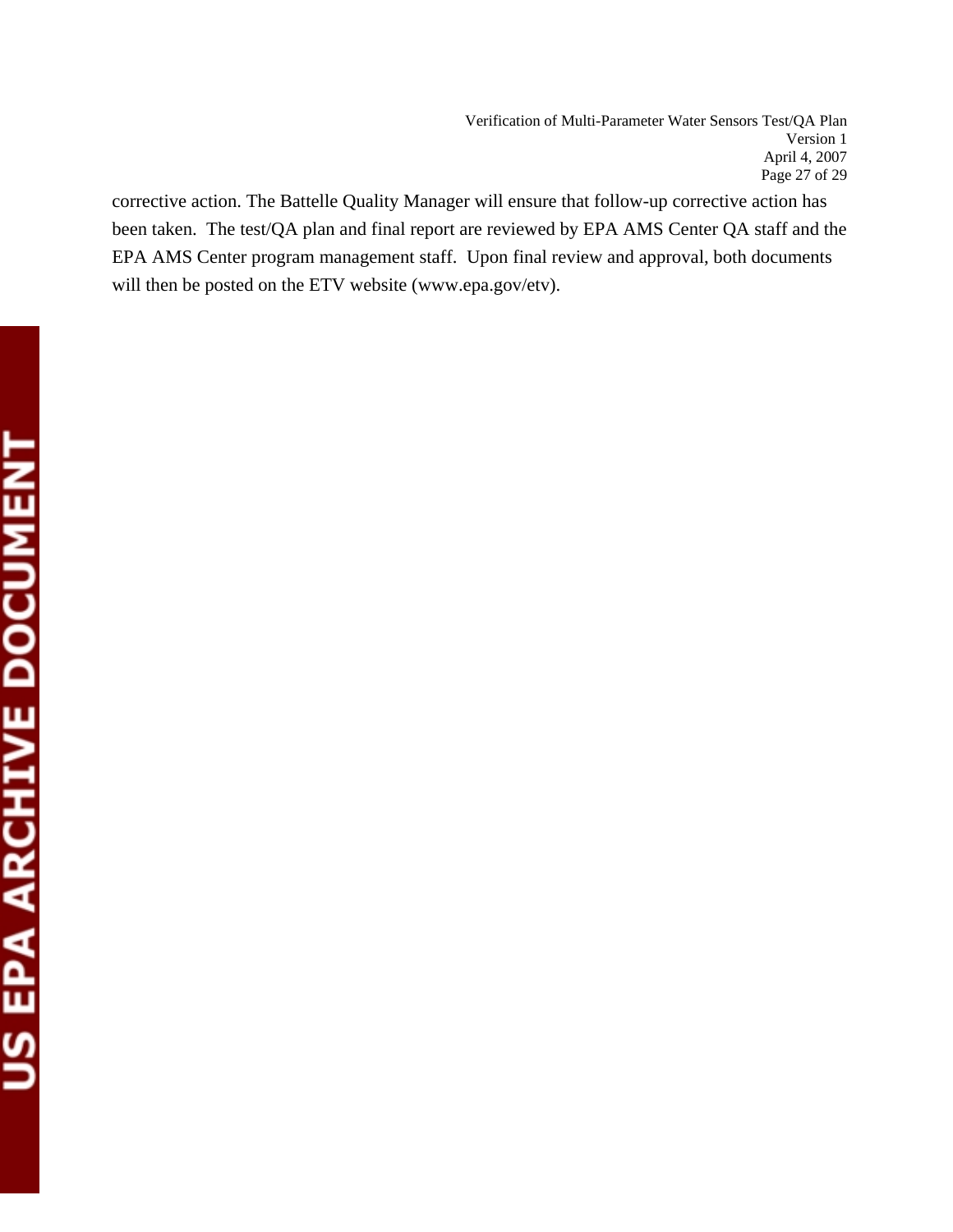corrective action. The Battelle Quality Manager will ensure that follow-up corrective action has been taken. The test/QA plan and final report are reviewed by EPA AMS Center QA staff and the EPA AMS Center program management staff. Upon final review and approval, both documents will then be posted on the ETV website (www.epa.gov/etv).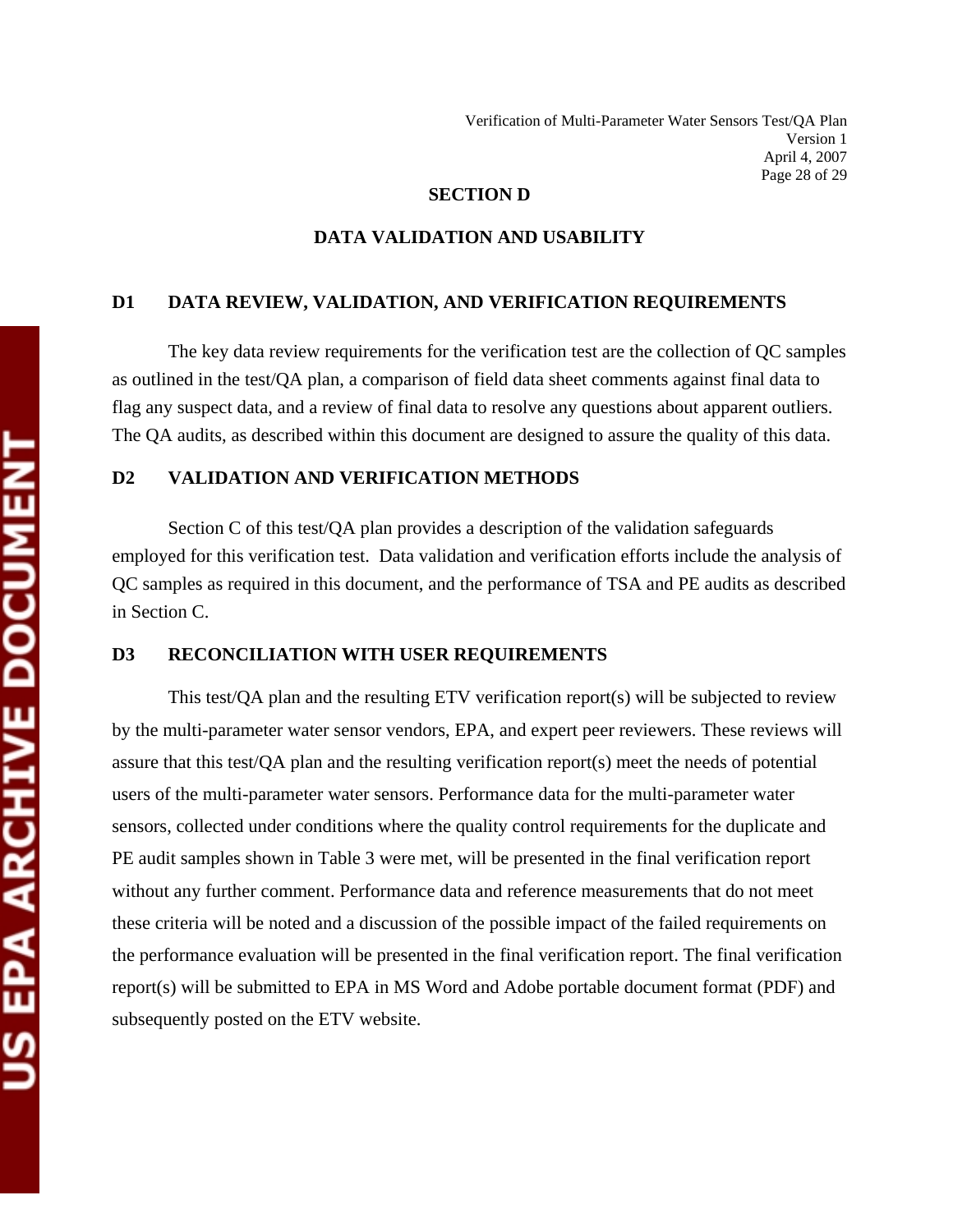#### **SECTION D**

#### **DATA VALIDATION AND USABILITY**

#### **D1 DATA REVIEW, VALIDATION, AND VERIFICATION REQUIREMENTS**

 The key data review requirements for the verification test are the collection of QC samples as outlined in the test/QA plan, a comparison of field data sheet comments against final data to flag any suspect data, and a review of final data to resolve any questions about apparent outliers. The QA audits, as described within this document are designed to assure the quality of this data.

#### **D2 VALIDATION AND VERIFICATION METHODS**

 Section C of this test/QA plan provides a description of the validation safeguards employed for this verification test. Data validation and verification efforts include the analysis of QC samples as required in this document, and the performance of TSA and PE audits as described in Section C.

#### **D3 RECONCILIATION WITH USER REQUIREMENTS**

 This test/QA plan and the resulting ETV verification report(s) will be subjected to review by the multi-parameter water sensor vendors, EPA, and expert peer reviewers. These reviews will assure that this test/QA plan and the resulting verification report(s) meet the needs of potential users of the multi-parameter water sensors. Performance data for the multi-parameter water sensors, collected under conditions where the quality control requirements for the duplicate and PE audit samples shown in Table 3 were met, will be presented in the final verification report without any further comment. Performance data and reference measurements that do not meet these criteria will be noted and a discussion of the possible impact of the failed requirements on the performance evaluation will be presented in the final verification report. The final verification report(s) will be submitted to EPA in MS Word and Adobe portable document format (PDF) and subsequently posted on the ETV website.